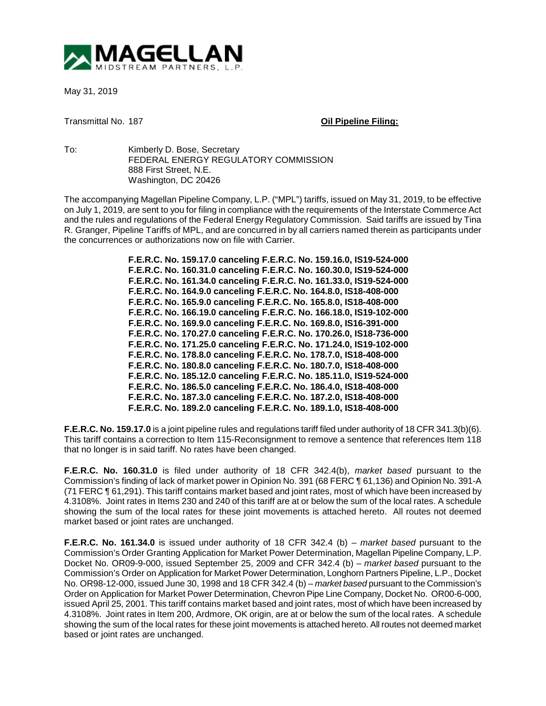

May 31, 2019

Transmittal No. 187 **Oil Pipeline Filing:**

To: Kimberly D. Bose, Secretary FEDERAL ENERGY REGULATORY COMMISSION 888 First Street, N.E. Washington, DC 20426

The accompanying Magellan Pipeline Company, L.P. ("MPL") tariffs, issued on May 31, 2019, to be effective on July 1, 2019, are sent to you for filing in compliance with the requirements of the Interstate Commerce Act and the rules and regulations of the Federal Energy Regulatory Commission. Said tariffs are issued by Tina R. Granger, Pipeline Tariffs of MPL, and are concurred in by all carriers named therein as participants under the concurrences or authorizations now on file with Carrier.

> **F.E.R.C. No. 159.17.0 canceling F.E.R.C. No. 159.16.0, IS19-524-000 F.E.R.C. No. 160.31.0 canceling F.E.R.C. No. 160.30.0, IS19-524-000 F.E.R.C. No. 161.34.0 canceling F.E.R.C. No. 161.33.0, IS19-524-000 F.E.R.C. No. 164.9.0 canceling F.E.R.C. No. 164.8.0, IS18-408-000 F.E.R.C. No. 165.9.0 canceling F.E.R.C. No. 165.8.0, IS18-408-000 F.E.R.C. No. 166.19.0 canceling F.E.R.C. No. 166.18.0, IS19-102-000 F.E.R.C. No. 169.9.0 canceling F.E.R.C. No. 169.8.0, IS16-391-000 F.E.R.C. No. 170.27.0 canceling F.E.R.C. No. 170.26.0, IS18-736-000 F.E.R.C. No. 171.25.0 canceling F.E.R.C. No. 171.24.0, IS19-102-000 F.E.R.C. No. 178.8.0 canceling F.E.R.C. No. 178.7.0, IS18-408-000 F.E.R.C. No. 180.8.0 canceling F.E.R.C. No. 180.7.0, IS18-408-000 F.E.R.C. No. 185.12.0 canceling F.E.R.C. No. 185.11.0, IS19-524-000 F.E.R.C. No. 186.5.0 canceling F.E.R.C. No. 186.4.0, IS18-408-000 F.E.R.C. No. 187.3.0 canceling F.E.R.C. No. 187.2.0, IS18-408-000 F.E.R.C. No. 189.2.0 canceling F.E.R.C. No. 189.1.0, IS18-408-000**

**F.E.R.C. No. 159.17.0** is a joint pipeline rules and regulations tariff filed under authority of 18 CFR 341.3(b)(6). This tariff contains a correction to Item 115-Reconsignment to remove a sentence that references Item 118 that no longer is in said tariff. No rates have been changed.

**F.E.R.C. No. 160.31.0** is filed under authority of 18 CFR 342.4(b), *market based* pursuant to the Commission's finding of lack of market power in Opinion No. 391 (68 FERC ¶ 61,136) and Opinion No. 391-A (71 FERC ¶ 61,291). This tariff contains market based and joint rates, most of which have been increased by 4.3108%. Joint rates in Items 230 and 240 of this tariff are at or below the sum of the local rates. A schedule showing the sum of the local rates for these joint movements is attached hereto. All routes not deemed market based or joint rates are unchanged.

**F.E.R.C. No. 161.34.0** is issued under authority of 18 CFR 342.4 (b) – *market based* pursuant to the Commission's Order Granting Application for Market Power Determination, Magellan Pipeline Company, L.P. Docket No. OR09-9-000, issued September 25, 2009 and CFR 342.4 (b) – *market based* pursuant to the Commission's Order on Application for Market Power Determination, Longhorn Partners Pipeline, L.P., Docket No. OR98-12-000, issued June 30, 1998 and 18 CFR 342.4 (b) – *market based* pursuant to the Commission's Order on Application for Market Power Determination, Chevron Pipe Line Company, Docket No. OR00-6-000, issued April 25, 2001. This tariff contains market based and joint rates, most of which have been increased by 4.3108%. Joint rates in Item 200, Ardmore, OK origin, are at or below the sum of the local rates. A schedule showing the sum of the local rates for these joint movements is attached hereto. All routes not deemed market based or joint rates are unchanged.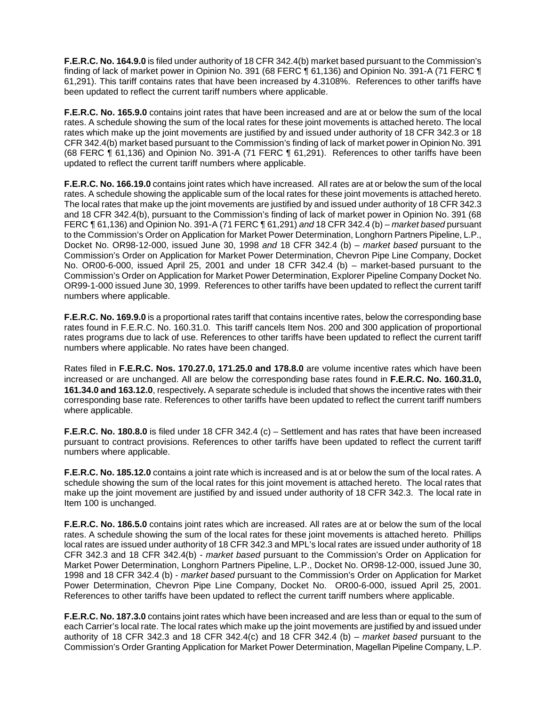**F.E.R.C. No. 164.9.0** is filed under authority of 18 CFR 342.4(b) market based pursuant to the Commission's finding of lack of market power in Opinion No. 391 (68 FERC ¶ 61,136) and Opinion No. 391-A (71 FERC ¶ 61,291). This tariff contains rates that have been increased by 4.3108%. References to other tariffs have been updated to reflect the current tariff numbers where applicable.

**F.E.R.C. No. 165.9.0** contains joint rates that have been increased and are at or below the sum of the local rates. A schedule showing the sum of the local rates for these joint movements is attached hereto. The local rates which make up the joint movements are justified by and issued under authority of 18 CFR 342.3 or 18 CFR 342.4(b) market based pursuant to the Commission's finding of lack of market power in Opinion No. 391 (68 FERC ¶ 61,136) and Opinion No. 391-A (71 FERC ¶ 61,291). References to other tariffs have been updated to reflect the current tariff numbers where applicable.

**F.E.R.C. No. 166.19.0** contains joint rates which have increased. All rates are at or below the sum of the local rates. A schedule showing the applicable sum of the local rates for these joint movements is attached hereto. The local rates that make up the joint movements are justified by and issued under authority of 18 CFR 342.3 and 18 CFR 342.4(b), pursuant to the Commission's finding of lack of market power in Opinion No. 391 (68 FERC ¶ 61,136) and Opinion No. 391-A (71 FERC ¶ 61,291) *and* 18 CFR 342.4 (b) – *market based* pursuant to the Commission's Order on Application for Market Power Determination, Longhorn Partners Pipeline, L.P., Docket No. OR98-12-000, issued June 30, 1998 *and* 18 CFR 342.4 (b) – *market based* pursuant to the Commission's Order on Application for Market Power Determination, Chevron Pipe Line Company, Docket No. OR00-6-000, issued April 25, 2001 and under 18 CFR 342.4 (b) – market-based pursuant to the Commission's Order on Application for Market Power Determination, Explorer Pipeline Company Docket No. OR99-1-000 issued June 30, 1999. References to other tariffs have been updated to reflect the current tariff numbers where applicable.

**F.E.R.C. No. 169.9.0** is a proportional rates tariff that contains incentive rates, below the corresponding base rates found in F.E.R.C. No. 160.31.0. This tariff cancels Item Nos. 200 and 300 application of proportional rates programs due to lack of use. References to other tariffs have been updated to reflect the current tariff numbers where applicable. No rates have been changed.

Rates filed in **F.E.R.C. Nos. 170.27.0, 171.25.0 and 178.8.0** are volume incentive rates which have been increased or are unchanged. All are below the corresponding base rates found in **F.E.R.C. No. 160.31.0, 161.34.0 and 163.12.0**, respectively**.** A separate schedule is included that shows the incentive rates with their corresponding base rate. References to other tariffs have been updated to reflect the current tariff numbers where applicable.

**F.E.R.C. No. 180.8.0** is filed under 18 CFR 342.4 (c) – Settlement and has rates that have been increased pursuant to contract provisions. References to other tariffs have been updated to reflect the current tariff numbers where applicable.

**F.E.R.C. No. 185.12.0** contains a joint rate which is increased and is at or below the sum of the local rates. A schedule showing the sum of the local rates for this joint movement is attached hereto. The local rates that make up the joint movement are justified by and issued under authority of 18 CFR 342.3. The local rate in Item 100 is unchanged.

**F.E.R.C. No. 186.5.0** contains joint rates which are increased. All rates are at or below the sum of the local rates. A schedule showing the sum of the local rates for these joint movements is attached hereto. Phillips local rates are issued under authority of 18 CFR 342.3 and MPL's local rates are issued under authority of 18 CFR 342.3 and 18 CFR 342.4(b) - *market based* pursuant to the Commission's Order on Application for Market Power Determination, Longhorn Partners Pipeline, L.P., Docket No. OR98-12-000, issued June 30, 1998 and 18 CFR 342.4 (b) - *market based* pursuant to the Commission's Order on Application for Market Power Determination, Chevron Pipe Line Company, Docket No. OR00-6-000, issued April 25, 2001. References to other tariffs have been updated to reflect the current tariff numbers where applicable.

**F.E.R.C. No. 187.3.0** contains joint rates which have been increased and are less than or equal to the sum of each Carrier's local rate. The local rates which make up the joint movements are justified by and issued under authority of 18 CFR 342.3 and 18 CFR 342.4(c) and 18 CFR 342.4 (b) – *market based* pursuant to the Commission's Order Granting Application for Market Power Determination, Magellan Pipeline Company, L.P.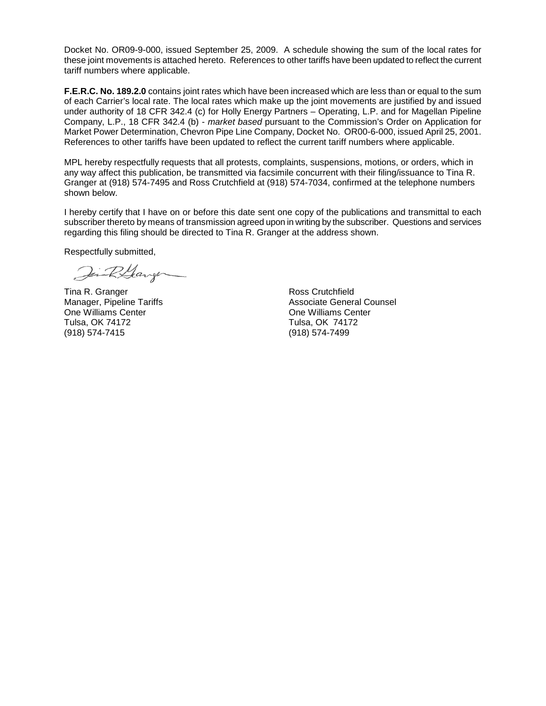Docket No. OR09-9-000, issued September 25, 2009. A schedule showing the sum of the local rates for these joint movements is attached hereto. References to other tariffs have been updated to reflect the current tariff numbers where applicable.

**F.E.R.C. No. 189.2.0** contains joint rates which have been increased which are less than or equal to the sum of each Carrier's local rate. The local rates which make up the joint movements are justified by and issued under authority of 18 CFR 342.4 (c) for Holly Energy Partners – Operating, L.P. and for Magellan Pipeline Company, L.P., 18 CFR 342.4 (b) - *market based* pursuant to the Commission's Order on Application for Market Power Determination, Chevron Pipe Line Company, Docket No. OR00-6-000, issued April 25, 2001. References to other tariffs have been updated to reflect the current tariff numbers where applicable.

MPL hereby respectfully requests that all protests, complaints, suspensions, motions, or orders, which in any way affect this publication, be transmitted via facsimile concurrent with their filing/issuance to Tina R. Granger at (918) 574-7495 and Ross Crutchfield at (918) 574-7034, confirmed at the telephone numbers shown below.

I hereby certify that I have on or before this date sent one copy of the publications and transmittal to each subscriber thereto by means of transmission agreed upon in writing by the subscriber. Questions and services regarding this filing should be directed to Tina R. Granger at the address shown.

Respectfully submitted,

Jin R.Garge

Manager, Pipeline Tariffs One Williams Center **Canadian Center** Change of Che Williams Center Tulsa, OK 74172 Tulsa, OK 74172 (918) 574-7415

Tina R. Granger and Times and Times Ross Crutchfield<br>Manager. Pipeline Tariffs and Times and Associate General Counsel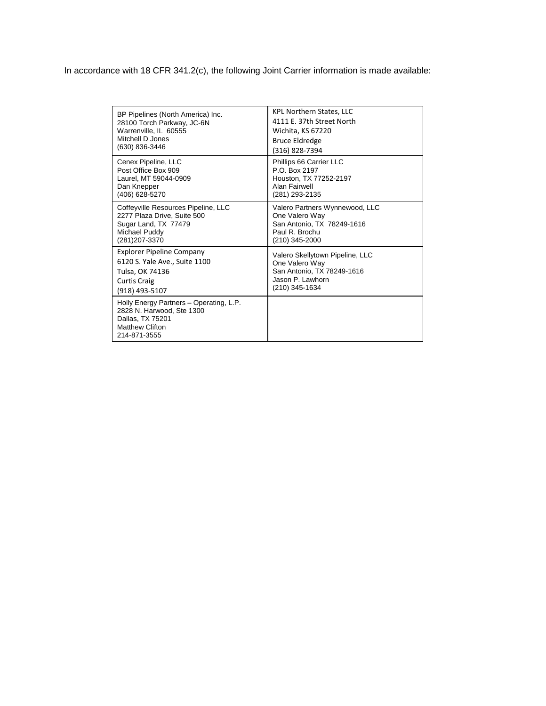In accordance with 18 CFR 341.2(c), the following Joint Carrier information is made available:

| BP Pipelines (North America) Inc.                                                                                                  | KPL Northern States, LLC        |
|------------------------------------------------------------------------------------------------------------------------------------|---------------------------------|
| 28100 Torch Parkway, JC-6N                                                                                                         | 4111 E. 37th Street North       |
| Warrenville, IL 60555                                                                                                              | Wichita, KS 67220               |
| Mitchell D Jones                                                                                                                   | <b>Bruce Eldredge</b>           |
| (630) 836-3446                                                                                                                     | (316) 828-7394                  |
| Cenex Pipeline, LLC                                                                                                                | Phillips 66 Carrier LLC         |
| Post Office Box 909                                                                                                                | P.O. Box 2197                   |
| Laurel, MT 59044-0909                                                                                                              | Houston, TX 77252-2197          |
| Dan Knepper                                                                                                                        | Alan Fairwell                   |
| (406) 628-5270                                                                                                                     | (281) 293-2135                  |
| Coffeyville Resources Pipeline, LLC                                                                                                | Valero Partners Wynnewood, LLC  |
| 2277 Plaza Drive, Suite 500                                                                                                        | One Valero Way                  |
| Sugar Land, TX 77479                                                                                                               | San Antonio, TX 78249-1616      |
| Michael Puddy                                                                                                                      | Paul R. Brochu                  |
| (281) 207-3370                                                                                                                     | (210) 345-2000                  |
| <b>Explorer Pipeline Company</b>                                                                                                   | Valero Skellytown Pipeline, LLC |
| 6120 S. Yale Ave., Suite 1100                                                                                                      | One Valero Way                  |
| Tulsa, OK 74136                                                                                                                    | San Antonio, TX 78249-1616      |
| <b>Curtis Craig</b>                                                                                                                | Jason P. Lawhorn                |
| (918) 493-5107                                                                                                                     | (210) 345-1634                  |
| Holly Energy Partners - Operating, L.P.<br>2828 N. Harwood, Ste 1300<br>Dallas, TX 75201<br><b>Matthew Clifton</b><br>214-871-3555 |                                 |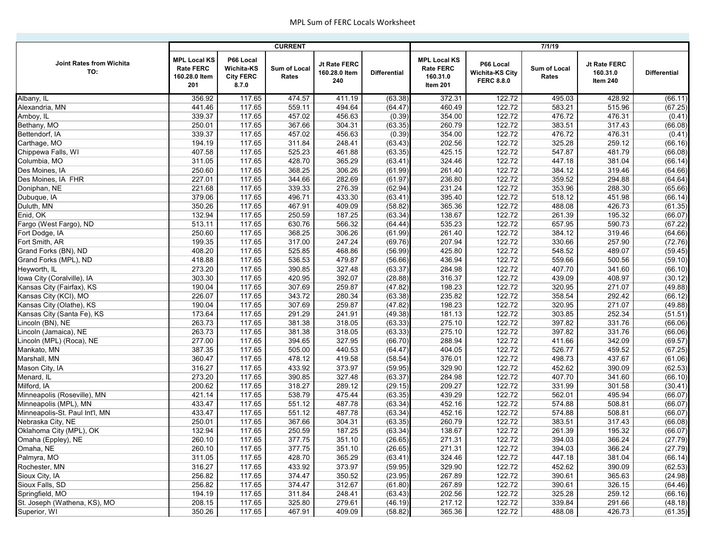|                                 |                                                                 |                                                      | <b>CURRENT</b>        |                                      |                     | 7/1/19                                                          |                                                          |                       |                                      |                     |  |
|---------------------------------|-----------------------------------------------------------------|------------------------------------------------------|-----------------------|--------------------------------------|---------------------|-----------------------------------------------------------------|----------------------------------------------------------|-----------------------|--------------------------------------|---------------------|--|
| Joint Rates from Wichita<br>TO: | <b>MPL Local KS</b><br><b>Rate FERC</b><br>160.28.0 Item<br>201 | P66 Local<br>Wichita-KS<br><b>City FERC</b><br>8.7.0 | Sum of Local<br>Rates | Jt Rate FERC<br>160.28.0 Item<br>240 | <b>Differential</b> | <b>MPL Local KS</b><br><b>Rate FERC</b><br>160.31.0<br>Item 201 | P66 Local<br><b>Wichita-KS City</b><br><b>FERC 8.8.0</b> | Sum of Local<br>Rates | Jt Rate FERC<br>160.31.0<br>Item 240 | <b>Differential</b> |  |
| Albany, IL                      | 356.92                                                          | 117.65                                               | 474.57                | 411.19                               | (63.38)             | 372.31                                                          | 122.72                                                   | 495.03                | 428.92                               | (66.11)             |  |
| Alexandria, MN                  | 441.46                                                          | 117.65                                               | 559.11                | 494.64                               | (64.47)             | 460.49                                                          | 122.72                                                   | 583.21                | 515.96                               | (67.25)             |  |
| Amboy, IL                       | 339.37                                                          | 117.65                                               | 457.02                | 456.63                               | (0.39)              | 354.00                                                          | 122.72                                                   | 476.72                | 476.31                               | (0.41)              |  |
| Bethany, MO                     | 250.01                                                          | 117.65                                               | 367.66                | 304.31                               | (63.35)             | 260.79                                                          | 122.72                                                   | 383.51                | 317.43                               | (66.08)             |  |
| Bettendorf, IA                  | 339.37                                                          | 117.65                                               | 457.02                | 456.63                               | (0.39)              | 354.00                                                          | 122.72                                                   | 476.72                | 476.31                               | (0.41)              |  |
| Carthage, MO                    | 194.19                                                          | 117.65                                               | 311.84                | 248.41                               | (63.43)             | 202.56                                                          | 122.72                                                   | 325.28                | 259.12                               | (66.16)             |  |
| Chippewa Falls, WI              | 407.58                                                          | 117.65                                               | 525.23                | 461.88                               | (63.35)             | 425.15                                                          | 122.72                                                   | 547.87                | 481.79                               | (66.08)             |  |
| Columbia, MO                    | 311.05                                                          | 117.65                                               | 428.70                | 365.29                               | (63.41)             | 324.46                                                          | 122.72                                                   | 447.18                | 381.04                               | (66.14)             |  |
| Des Moines, IA                  | 250.60                                                          | 117.65                                               | 368.25                | 306.26                               | (61.99)             | 261.40                                                          | 122.72                                                   | 384.12                | 319.46                               | (64.66)             |  |
| Des Moines, IA FHR              | 227.01                                                          | 117.65                                               | 344.66                | 282.69                               | (61.97)             | 236.80                                                          | 122.72                                                   | 359.52                | 294.88                               | (64.64)             |  |
| Doniphan, NE                    | 221.68                                                          | 117.65                                               | 339.33                | 276.39                               | (62.94)             | 231.24                                                          | 122.72                                                   | 353.96                | 288.30                               | (65.66)             |  |
| Dubuque, IA                     | 379.06                                                          | 117.65                                               | 496.71                | 433.30                               | (63.41)             | 395.40                                                          | 122.72                                                   | 518.12                | 451.98                               | (66.14)             |  |
| Duluth, MN                      | 350.26                                                          | 117.65                                               | 467.91                | 409.09                               | (58.82)             | 365.36                                                          | 122.72                                                   | 488.08                | 426.73                               | (61.35)             |  |
| Enid, OK                        | 132.94                                                          | 117.65                                               | 250.59                | 187.25                               | (63.34)             | 138.67                                                          | 122.72                                                   | 261.39                | 195.32                               | (66.07)             |  |
| Fargo (West Fargo), ND          | 513.11                                                          | 117.65                                               | 630.76                | 566.32                               | (64.44)             | 535.23                                                          | 122.72                                                   | 657.95                | 590.73                               | (67.22)             |  |
| Fort Dodge, IA                  | 250.60                                                          | 117.65                                               | 368.25                | 306.26                               | (61.99)             | 261.40                                                          | 122.72                                                   | 384.12                | 319.46                               | (64.66)             |  |
| Fort Smith, AR                  | 199.35                                                          | 117.65                                               | 317.00                | 247.24                               | (69.76)             | 207.94                                                          | 122.72                                                   | 330.66                | 257.90                               | (72.76)             |  |
| Grand Forks (BN), ND            | 408.20                                                          | 117.65                                               | 525.85                | 468.86                               | (56.99)             | 425.80                                                          | 122.72                                                   | 548.52                | 489.07                               | (59.45)             |  |
| Grand Forks (MPL), ND           | 418.88                                                          | 117.65                                               | 536.53                | 479.87                               | (56.66)             | 436.94                                                          | 122.72                                                   | 559.66                | 500.56                               | (59.10)             |  |
| Heyworth, IL                    | 273.20                                                          | 117.65                                               | 390.85                | 327.48                               | (63.37)             | 284.98                                                          | 122.72                                                   | 407.70                | 341.60                               | (66.10)             |  |
| owa City (Coralville), IA       | 303.30                                                          | 117.65                                               | 420.95                | 392.07                               | (28.88)             | 316.37                                                          | 122.72                                                   | 439.09                | 408.97                               | (30.12)             |  |
| Kansas City (Fairfax), KS       | 190.04                                                          | 117.65                                               | 307.69                | 259.87                               | (47.82)             | 198.23                                                          | 122.72                                                   | 320.95                | 271.07                               | (49.88)             |  |
| <b>Kansas City (KCI), MO</b>    | 226.07                                                          | 117.65                                               | 343.72                | 280.34                               | (63.38)             | 235.82                                                          | 122.72                                                   | 358.54                | 292.42                               | (66.12)             |  |
| Kansas City (Olathe), KS        | 190.04                                                          | 117.65                                               | 307.69                | 259.87                               | (47.82)             | 198.23                                                          | 122.72                                                   | 320.95                | 271.07                               | (49.88)             |  |
| Kansas City (Santa Fe), KS      | 173.64                                                          | 117.65                                               | 291.29                | 241.91                               | (49.38)             | 181.13                                                          | 122.72                                                   | 303.85                | 252.34                               | (51.51)             |  |
| incoln (BN), NE                 | 263.73                                                          | 117.65                                               | 381.38                | 318.05                               | (63.33)             | 275.10                                                          | 122.72                                                   | 397.82                | 331.76                               | (66.06)             |  |
| incoln (Jamaica), NE            | 263.73                                                          | 117.65                                               | 381.38                | 318.05                               | (63.33)             | 275.10                                                          | 122.72                                                   | 397.82                | 331.76                               | (66.06)             |  |
| incoln (MPL) (Roca), NE         | 277.00                                                          | 117.65                                               | 394.65                | 327.95                               | (66.70)             | 288.94                                                          | 122.72                                                   | 411.66                | 342.09                               | (69.57)             |  |
| Mankato, MN                     | 387.35                                                          | 117.65                                               | 505.00                | 440.53                               | (64.47)             | 404.05                                                          | 122.72                                                   | 526.77                | 459.52                               | (67.25)             |  |
| Marshall, MN                    | 360.47                                                          | 117.65                                               | 478.12                | 419.58                               | (58.54)             | 376.01                                                          | 122.72                                                   | 498.73                | 437.67                               | (61.06)             |  |
| Mason City, IA                  | 316.27                                                          | 117.65                                               | 433.92                | 373.97                               | (59.95)             | 329.90                                                          | 122.72                                                   | 452.62                | 390.09                               | (62.53)             |  |
| Menard, IL                      | 273.20                                                          | 117.65                                               | 390.85                | 327.48                               | (63.37)             | 284.98                                                          | 122.72                                                   | 407.70                | 341.60                               | (66.10)             |  |
| Milford, IA                     | 200.62                                                          | 117.65                                               | 318.27                | 289.12                               | (29.15)             | 209.27                                                          | 122.72                                                   | 331.99                | 301.58                               | (30.41)             |  |
| Minneapolis (Roseville), MN     | 421.14                                                          | 117.65                                               | 538.79                | 475.44                               | (63.35)             | 439.29                                                          | 122.72                                                   | 562.01                | 495.94                               | (66.07)             |  |
| Minneapolis (MPL), MN           | 433.47                                                          | 117.65                                               | 551.12                | 487.78                               | (63.34)             | 452.16                                                          | 122.72                                                   | 574.88                | 508.81                               | (66.07)             |  |
| Minneapolis-St. Paul Int'l, MN  | 433.47                                                          | 117.65                                               | 551.12                | 487.78                               | (63.34)             | 452.16                                                          | 122.72                                                   | 574.88                | 508.81                               | (66.07)             |  |
| Nebraska City, NE               | 250.01                                                          | 117.65                                               | 367.66                | 304.31                               | (63.35)             | 260.79                                                          | 122.72                                                   | 383.51                | 317.43                               | (66.08)             |  |
| Oklahoma City (MPL), OK         | 132.94                                                          | 117.65                                               | 250.59                | 187.25                               | (63.34)             | 138.67                                                          | 122.72                                                   | 261.39                | 195.32                               | (66.07)             |  |
| Omaha (Eppley), NE              | 260.10                                                          | 117.65                                               | 377.75                | 351.10                               | (26.65)             | 271.31                                                          | 122.72                                                   | 394.03                | 366.24                               | (27.79)             |  |
| Omaha, NE                       | 260.10                                                          | 117.65                                               | 377.75                | 351.10                               | (26.65)             | 271.31                                                          | 122.72                                                   | 394.03                | 366.24                               | (27.79)             |  |
| Palmyra, MO                     | 311.05                                                          | 117.65                                               | 428.70                | 365.29                               | (63.41)             | 324.46                                                          | 122.72                                                   | 447.18                | 381.04                               | (66.14)             |  |
| Rochester, MN                   | 316.27                                                          | 117.65                                               | 433.92                | 373.97                               | (59.95)             | 329.90                                                          | 122.72                                                   | 452.62                | 390.09                               | (62.53)             |  |
| Sioux City, IA                  | 256.82                                                          | 117.65                                               | 374.47                | 350.52                               | (23.95)             | 267.89                                                          | 122.72                                                   | 390.61                | 365.63                               | (24.98)             |  |
| Sioux Falls, SD                 | 256.82                                                          | 117.65                                               | 374.47                | 312.67                               | (61.80)             | 267.89                                                          | 122.72                                                   | 390.61                | 326.15                               | (64.46)             |  |
| Springfield, MO                 | 194.19                                                          | 117.65                                               | 311.84                | 248.41                               | (63.43)             | 202.56                                                          | 122.72                                                   | 325.28                | 259.12                               | (66.16)             |  |
| St. Joseph (Wathena, KS), MO    | 208.15                                                          | 117.65                                               | 325.80                | 279.61                               | (46.19)             | 217.12                                                          | 122.72                                                   | 339.84                | 291.66                               | (48.18)             |  |
| Superior, WI                    | 350.26                                                          | 117.65                                               | 467.91                | 409.09                               | (58.82)             | 365.36                                                          | 122.72                                                   | 488.08                | 426.73                               | (61.35)             |  |
|                                 |                                                                 |                                                      |                       |                                      |                     |                                                                 |                                                          |                       |                                      |                     |  |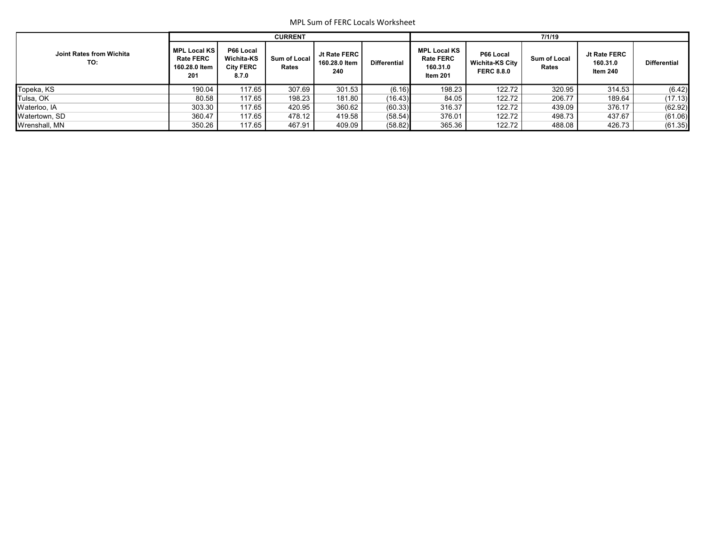|                                 |                                                                 |                                                      | <b>CURRENT</b>               |                                        |                     | 7/1/19                                                          |                                                          |                       |                                      |                     |  |  |
|---------------------------------|-----------------------------------------------------------------|------------------------------------------------------|------------------------------|----------------------------------------|---------------------|-----------------------------------------------------------------|----------------------------------------------------------|-----------------------|--------------------------------------|---------------------|--|--|
| Joint Rates from Wichita<br>TO: | <b>MPL Local KS</b><br><b>Rate FERC</b><br>160.28.0 Item<br>201 | P66 Local<br>Wichita-KS<br><b>City FERC</b><br>8.7.0 | <b>Sum of Local</b><br>Rates | Jt Rate FERC  <br>160.28.0 Item<br>240 | <b>Differential</b> | <b>MPL Local KS</b><br><b>Rate FERC</b><br>160.31.0<br>Item 201 | P66 Local<br><b>Wichita-KS City</b><br><b>FERC 8.8.0</b> | Sum of Local<br>Rates | Jt Rate FERC<br>160.31.0<br>Item 240 | <b>Differential</b> |  |  |
| Topeka, KS                      | 190.04                                                          | 117.65                                               | 307.69                       | 301.53                                 | (6.16)              | 198.23                                                          | 122.72                                                   | 320.95                | 314.53                               | (6.42)              |  |  |
| Tulsa, OK                       | 80.58                                                           | 117.65                                               | 198.23                       | 181.80                                 | (16.43)             | 84.05                                                           | 122.72                                                   | 206.77                | 189.64                               | (17.13)             |  |  |
| Waterloo, IA                    | 303.30                                                          | 117.65                                               | 420.95                       | 360.62                                 | (60.33)             | 316.37                                                          | 122.72                                                   | 439.09                | 376.17                               | (62.92)             |  |  |
| Watertown, SD                   | 360.47                                                          | 117.65                                               | 478.12                       | 419.58                                 | (58.54)             | 376.01                                                          | 122.72                                                   | 498.73                | 437.67                               | (61.06)             |  |  |
| Wrenshall, MN                   | 350.26                                                          | 117.65                                               | 467.91                       | 409.09                                 | (58.82)             | 365.36                                                          | 122.72                                                   | 488.08                | 426.73                               | (61.35)             |  |  |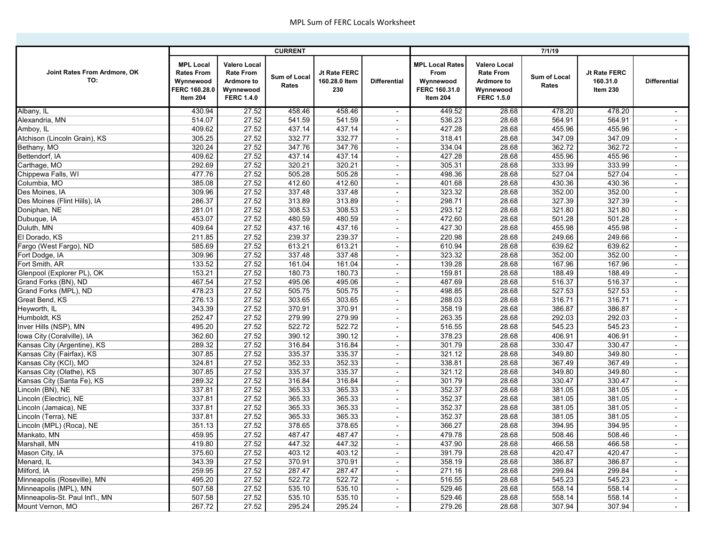|                                     |                                                                                 |                                                                                                | <b>CURRENT</b>        |                                      |                          |                                                                          |                                                                                                | 7/1/19                |                                      |                          |
|-------------------------------------|---------------------------------------------------------------------------------|------------------------------------------------------------------------------------------------|-----------------------|--------------------------------------|--------------------------|--------------------------------------------------------------------------|------------------------------------------------------------------------------------------------|-----------------------|--------------------------------------|--------------------------|
|                                     |                                                                                 |                                                                                                |                       |                                      |                          |                                                                          |                                                                                                |                       |                                      |                          |
| Joint Rates From Ardmore, OK<br>TO: | <b>MPL Local</b><br><b>Rates From</b><br>Wynnewood<br>FERC 160.28.0<br>Item 204 | <b>Valero Local</b><br><b>Rate From</b><br><b>Ardmore to</b><br>Wynnewood<br><b>FERC 1.4.0</b> | Sum of Local<br>Rates | Jt Rate FERC<br>160.28.0 Item<br>230 | <b>Differential</b>      | <b>MPL Local Rates</b><br>From<br>Wynnewood<br>FERC 160.31.0<br>Item 204 | <b>Valero Local</b><br><b>Rate From</b><br><b>Ardmore to</b><br>Wynnewood<br><b>FERC 1.5.0</b> | Sum of Local<br>Rates | Jt Rate FERC<br>160.31.0<br>Item 230 | <b>Differential</b>      |
| Albany, IL                          | 430.94                                                                          | 27.52                                                                                          | 458.46                | 458.46                               | $\overline{\phantom{a}}$ | 449.52                                                                   | 28.68                                                                                          | 478.20                | 478.20                               | $\sim$                   |
| Alexandria, MN                      | 514.07                                                                          | 27.52                                                                                          | 541.59                | 541.59                               | $\overline{\phantom{a}}$ | 536.23                                                                   | 28.68                                                                                          | 564.91                | 564.91                               | $\sim$                   |
| Amboy, IL                           | 409.62                                                                          | 27.52                                                                                          | 437.14                | 437.14                               | $\overline{\phantom{a}}$ | 427.28                                                                   | 28.68                                                                                          | 455.96                | 455.96                               | $\blacksquare$           |
| Atchison (Lincoln Grain), KS        | 305.25                                                                          | 27.52                                                                                          | 332.77                | 332.77                               | $\overline{\phantom{a}}$ | 318.41                                                                   | 28.68                                                                                          | 347.09                | 347.09                               | $\blacksquare$           |
| Bethany, MO                         | 320.24                                                                          | 27.52                                                                                          | 347.76                | 347.76                               | $\overline{\phantom{a}}$ | 334.04                                                                   | 28.68                                                                                          | 362.72                | 362.72                               | $\overline{\phantom{a}}$ |
| Bettendorf, IA                      | 409.62                                                                          | 27.52                                                                                          | 437.14                | 437.14                               | $\overline{\phantom{a}}$ | 427.28                                                                   | 28.68                                                                                          | 455.96                | 455.96                               | $\blacksquare$           |
| Carthage, MO                        | 292.69                                                                          | 27.52                                                                                          | 320.21                | 320.21                               | $\overline{\phantom{a}}$ | 305.31                                                                   | 28.68                                                                                          | 333.99                | 333.99                               | $\sim$                   |
| Chippewa Falls, WI                  | 477.76                                                                          | 27.52                                                                                          | 505.28                | 505.28                               | $\overline{\phantom{a}}$ | 498.36                                                                   | 28.68                                                                                          | 527.04                | 527.04                               | $\blacksquare$           |
| Columbia, MO                        | 385.08                                                                          | 27.52                                                                                          | 412.60                | 412.60                               | $\blacksquare$           | 401.68                                                                   | 28.68                                                                                          | 430.36                | 430.36                               | $\blacksquare$           |
| Des Moines, IA                      | 309.96                                                                          | 27.52                                                                                          | 337.48                | 337.48                               | $\overline{\phantom{a}}$ | 323.32                                                                   | 28.68                                                                                          | 352.00                | 352.00                               | $\sim$                   |
| Des Moines (Flint Hills), IA        | 286.37                                                                          | 27.52                                                                                          | 313.89                | 313.89                               | $\overline{\phantom{a}}$ | 298.71                                                                   | 28.68                                                                                          | 327.39                | 327.39                               | $\blacksquare$           |
| Doniphan, NE                        | 281.01                                                                          | 27.52                                                                                          | 308.53                | 308.53                               | $\overline{\phantom{a}}$ | 293.12                                                                   | 28.68                                                                                          | 321.80                | 321.80                               | $\blacksquare$           |
| Dubuque, IA                         | 453.07                                                                          | 27.52                                                                                          | 480.59                | 480.59                               | $\overline{\phantom{a}}$ | 472.60                                                                   | 28.68                                                                                          | 501.28                | 501.28                               | $\sim$                   |
| Duluth, MN                          | 409.64                                                                          | 27.52                                                                                          | 437.16                | 437.16                               | $\overline{\phantom{a}}$ | 427.30                                                                   | 28.68                                                                                          | 455.98                | 455.98                               | $\overline{\phantom{a}}$ |
| El Dorado, KS                       | 211.85                                                                          | 27.52                                                                                          | 239.37                | 239.37                               | $\overline{\phantom{a}}$ | 220.98                                                                   | 28.68                                                                                          | 249.66                | 249.66                               | $\overline{\phantom{a}}$ |
| Fargo (West Fargo), ND              | 585.69                                                                          | 27.52                                                                                          | 613.21                | 613.21                               | $\blacksquare$           | 610.94                                                                   | 28.68                                                                                          | 639.62                | 639.62                               | $\sim$                   |
| Fort Dodge, IA                      | 309.96                                                                          | 27.52                                                                                          | 337.48                | 337.48                               | $\overline{\phantom{a}}$ | 323.32                                                                   | 28.68                                                                                          | 352.00                | 352.00                               | $\overline{\phantom{a}}$ |
| Fort Smith, AR                      | 133.52                                                                          | 27.52                                                                                          | 161.04                | 161.04                               | $\overline{\phantom{a}}$ | 139.28                                                                   | 28.68                                                                                          | 167.96                | 167.96                               | $\sim$                   |
| Glenpool (Explorer PL), OK          | 153.21                                                                          | 27.52                                                                                          | 180.73                | 180.73                               | $\blacksquare$           | 159.81                                                                   | 28.68                                                                                          | 188.49                | 188.49                               | $\sim$                   |
| Grand Forks (BN), ND                | 467.54                                                                          | 27.52                                                                                          | 495.06                | 495.06                               | $\overline{\phantom{a}}$ | 487.69                                                                   | 28.68                                                                                          | 516.37                | 516.37                               | $\overline{\phantom{a}}$ |
| Grand Forks (MPL), ND               | 478.23                                                                          | 27.52                                                                                          | 505.75                | 505.75                               | $\overline{\phantom{a}}$ | 498.85                                                                   | 28.68                                                                                          | 527.53                | 527.53                               | $\sim$                   |
| Great Bend, KS                      | 276.13                                                                          | 27.52                                                                                          | 303.65                | 303.65                               | $\overline{\phantom{a}}$ | 288.03                                                                   | 28.68                                                                                          | 316.71                | 316.71                               | $\overline{\phantom{a}}$ |
| Heyworth, IL                        | 343.39                                                                          | 27.52                                                                                          | 370.91                | 370.91                               | $\overline{\phantom{a}}$ | 358.19                                                                   | 28.68                                                                                          | 386.87                | 386.87                               | $\sim$                   |
| Humboldt, KS                        | 252.47                                                                          | 27.52                                                                                          | 279.99                | 279.99                               | $\overline{\phantom{a}}$ | 263.35                                                                   | 28.68                                                                                          | 292.03                | 292.03                               | $\sim$                   |
| Inver Hills (NSP), MN               | 495.20                                                                          | 27.52                                                                                          | 522.72                | 522.72                               | $\overline{\phantom{a}}$ | 516.55                                                                   | 28.68                                                                                          | 545.23                | 545.23                               | $\blacksquare$           |
| Iowa City (Coralville), IA          | 362.60                                                                          | 27.52                                                                                          | 390.12                | 390.12                               | $\overline{\phantom{a}}$ | 378.23                                                                   | 28.68                                                                                          | 406.91                | 406.91                               | $\sim$                   |
| Kansas City (Argentine), KS         | 289.32                                                                          | 27.52                                                                                          | 316.84                | 316.84                               | $\overline{\phantom{a}}$ | 301.79                                                                   | 28.68                                                                                          | 330.47                | 330.47                               | $\overline{\phantom{a}}$ |
| Kansas City (Fairfax), KS           | 307.85                                                                          | 27.52                                                                                          | 335.37                | 335.37                               | $\overline{\phantom{a}}$ | 321.12                                                                   | 28.68                                                                                          | 349.80                | 349.80                               | $\blacksquare$           |
| Kansas City (KCI), MO               | 324.81                                                                          | 27.52                                                                                          | 352.33                | 352.33                               | $\overline{\phantom{a}}$ | 338.81                                                                   | 28.68                                                                                          | 367.49                | 367.49                               | $\blacksquare$           |
| Kansas City (Olathe), KS            | 307.85                                                                          | 27.52                                                                                          | 335.37                | 335.37                               | $\overline{\phantom{a}}$ | 321.12                                                                   | 28.68                                                                                          | 349.80                | 349.80                               | $\overline{\phantom{a}}$ |
| Kansas City (Santa Fe), KS          | 289.32                                                                          | 27.52                                                                                          | 316.84                | 316.84                               | $\overline{\phantom{a}}$ | 301.79                                                                   | 28.68                                                                                          | 330.47                | 330.47                               | $\blacksquare$           |
| Lincoln (BN), NE                    | 337.81                                                                          | 27.52                                                                                          | 365.33                | 365.33                               | $\overline{\phantom{a}}$ | 352.37                                                                   | 28.68                                                                                          | 381.05                | 381.05                               | $\sim$                   |
| Lincoln (Electric), NE              | 337.81                                                                          | 27.52                                                                                          | 365.33                | 365.33                               | $\overline{\phantom{a}}$ | 352.37                                                                   | 28.68                                                                                          | 381.05                | 381.05                               | $\blacksquare$           |
| Lincoln (Jamaica), NE               | 337.81                                                                          | 27.52                                                                                          | 365.33                | 365.33                               | $\overline{\phantom{a}}$ | 352.37                                                                   | 28.68                                                                                          | 381.05                | 381.05                               | $\blacksquare$           |
| Lincoln (Terra), NE                 | 337.81                                                                          | 27.52                                                                                          | 365.33                | 365.33                               | $\overline{\phantom{a}}$ | 352.37                                                                   | 28.68                                                                                          | 381.05                | 381.05                               | $\sim$                   |
| Lincoln (MPL) (Roca), NE            | 351.13                                                                          | 27.52                                                                                          | 378.65                | 378.65                               | $\overline{\phantom{a}}$ | 366.27                                                                   | 28.68                                                                                          | 394.95                | 394.95                               | $\blacksquare$           |
| Mankato, MN                         | 459.95                                                                          | 27.52                                                                                          | 487.47                | 487.47                               |                          | 479.78                                                                   | 28.68                                                                                          | 508.46                | 508.46                               |                          |
| Marshall, MN                        | 419.80                                                                          | 27.52                                                                                          | 447.32                | 447.32                               | $\overline{\phantom{a}}$ | 437.90                                                                   | 28.68                                                                                          | 466.58                | 466.58                               | $\sim$                   |
| Mason City, IA                      | 375.60                                                                          | 27.52                                                                                          | 403.12                | 403.12                               | $\overline{\phantom{a}}$ | 391.79                                                                   | 28.68                                                                                          | 420.47                | 420.47                               | $\sim$                   |
| Menard, IL                          | 343.39                                                                          | 27.52                                                                                          | 370.91                | 370.91                               | $\overline{\phantom{a}}$ | 358.19                                                                   | 28.68                                                                                          | 386.87                | 386.87                               | $\sim$                   |
| Milford, IA                         | 259.95                                                                          | 27.52                                                                                          | 287.47                | 287.47                               | $\overline{\phantom{a}}$ | 271.16                                                                   | 28.68                                                                                          | 299.84                | 299.84                               | $\sim$                   |
| Minneapolis (Roseville), MN         | 495.20                                                                          | 27.52                                                                                          | 522.72                | 522.72                               | $\blacksquare$           | 516.55                                                                   | 28.68                                                                                          | 545.23                | 545.23                               | $\sim$                   |
| Minneapolis (MPL), MN               | 507.58                                                                          | 27.52                                                                                          | 535.10                | 535.10                               | $\overline{\phantom{a}}$ | 529.46                                                                   | 28.68                                                                                          | 558.14                | 558.14                               | $\sim$                   |
| Minneapolis-St. Paul Int'l., MN     | 507.58                                                                          | 27.52                                                                                          | 535.10                | 535.10                               | $\overline{\phantom{a}}$ | 529.46                                                                   | 28.68                                                                                          | 558.14                | 558.14                               | $\sim$                   |
| Mount Vernon, MO                    | 267.72                                                                          | 27.52                                                                                          | 295.24                | 295.24                               | $\overline{\phantom{a}}$ | 279.26                                                                   | 28.68                                                                                          | 307.94                | 307.94                               | $\sim$                   |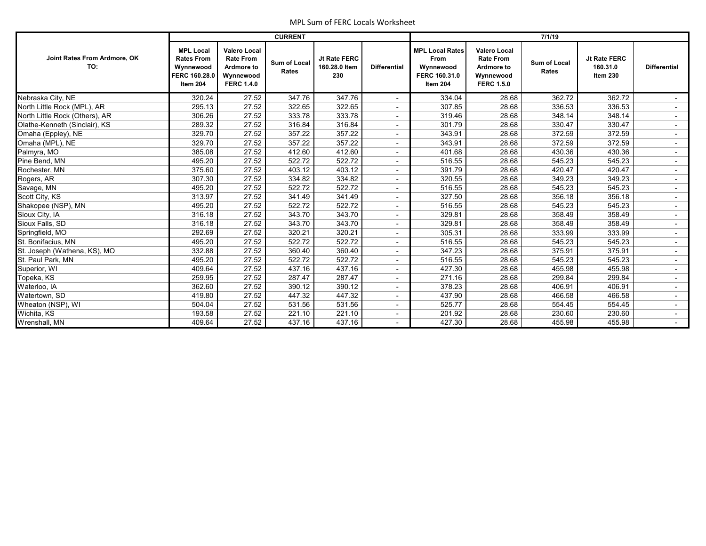|                                     |                                                                                 |                                                                                         | <b>CURRENT</b>        |                                      |                     |                                                                                 |                                                                                                | 7/1/19                |                                      |                          |
|-------------------------------------|---------------------------------------------------------------------------------|-----------------------------------------------------------------------------------------|-----------------------|--------------------------------------|---------------------|---------------------------------------------------------------------------------|------------------------------------------------------------------------------------------------|-----------------------|--------------------------------------|--------------------------|
| Joint Rates From Ardmore, OK<br>TO: | <b>MPL Local</b><br><b>Rates From</b><br>Wynnewood<br>FERC 160.28.0<br>Item 204 | <b>Valero Local</b><br><b>Rate From</b><br>Ardmore to<br>Wynnewood<br><b>FERC 1.4.0</b> | Sum of Local<br>Rates | Jt Rate FERC<br>160.28.0 Item<br>230 | <b>Differential</b> | <b>MPL Local Rates</b><br><b>From</b><br>Wynnewood<br>FERC 160.31.0<br>Item 204 | <b>Valero Local</b><br><b>Rate From</b><br><b>Ardmore to</b><br>Wynnewood<br><b>FERC 1.5.0</b> | Sum of Local<br>Rates | Jt Rate FERC<br>160.31.0<br>Item 230 | <b>Differential</b>      |
| Nebraska City, NE                   | 320.24                                                                          | 27.52                                                                                   | 347.76                | 347.76                               |                     | 334.04                                                                          | 28.68                                                                                          | 362.72                | 362.72                               |                          |
| North Little Rock (MPL), AR         | 295.13                                                                          | 27.52                                                                                   | 322.65                | 322.65                               |                     | 307.85                                                                          | 28.68                                                                                          | 336.53                | 336.53                               |                          |
| North Little Rock (Others), AR      | 306.26                                                                          | 27.52                                                                                   | 333.78                | 333.78                               |                     | 319.46                                                                          | 28.68                                                                                          | 348.14                | 348.14                               | $\sim$                   |
| Olathe-Kenneth (Sinclair), KS       | 289.32                                                                          | 27.52                                                                                   | 316.84                | 316.84                               |                     | 301.79                                                                          | 28.68                                                                                          | 330.47                | 330.47                               |                          |
| Omaha (Eppley), NE                  | 329.70                                                                          | 27.52                                                                                   | 357.22                | 357.22                               |                     | 343.91                                                                          | 28.68                                                                                          | 372.59                | 372.59                               |                          |
| Omaha (MPL), NE                     | 329.70                                                                          | 27.52                                                                                   | 357.22                | 357.22                               |                     | 343.91                                                                          | 28.68                                                                                          | 372.59                | 372.59                               |                          |
| Palmyra, MO                         | 385.08                                                                          | 27.52                                                                                   | 412.60                | 412.60                               |                     | 401.68                                                                          | 28.68                                                                                          | 430.36                | 430.36                               | $\overline{\phantom{a}}$ |
| Pine Bend, MN                       | 495.20                                                                          | 27.52                                                                                   | 522.72                | 522.72                               |                     | 516.55                                                                          | 28.68                                                                                          | 545.23                | 545.23                               |                          |
| Rochester, MN                       | 375.60                                                                          | 27.52                                                                                   | 403.12                | 403.12                               |                     | 391.79                                                                          | 28.68                                                                                          | 420.47                | 420.47                               |                          |
| Rogers, AR                          | 307.30                                                                          | 27.52                                                                                   | 334.82                | 334.82                               |                     | 320.55                                                                          | 28.68                                                                                          | 349.23                | 349.23                               | $\sim$                   |
| Savage, MN                          | 495.20                                                                          | 27.52                                                                                   | 522.72                | 522.72                               |                     | 516.55                                                                          | 28.68                                                                                          | 545.23                | 545.23                               | $\sim$                   |
| Scott City, KS                      | 313.97                                                                          | 27.52                                                                                   | 341.49                | 341.49                               |                     | 327.50                                                                          | 28.68                                                                                          | 356.18                | 356.18                               |                          |
| Shakopee (NSP), MN                  | 495.20                                                                          | 27.52                                                                                   | 522.72                | 522.72                               |                     | 516.55                                                                          | 28.68                                                                                          | 545.23                | 545.23                               | $\blacksquare$           |
| Sioux City, IA                      | 316.18                                                                          | 27.52                                                                                   | 343.70                | 343.70                               |                     | 329.81                                                                          | 28.68                                                                                          | 358.49                | 358.49                               | $\sim$                   |
| Sioux Falls, SD                     | 316.18                                                                          | 27.52                                                                                   | 343.70                | 343.70                               |                     | 329.81                                                                          | 28.68                                                                                          | 358.49                | 358.49                               | $\overline{\phantom{a}}$ |
| Springfield, MO                     | 292.69                                                                          | 27.52                                                                                   | 320.21                | 320.21                               |                     | 305.31                                                                          | 28.68                                                                                          | 333.99                | 333.99                               |                          |
| St. Bonifacius, MN                  | 495.20                                                                          | 27.52                                                                                   | 522.72                | 522.72                               |                     | 516.55                                                                          | 28.68                                                                                          | 545.23                | 545.23                               |                          |
| St. Joseph (Wathena, KS), MO        | 332.88                                                                          | 27.52                                                                                   | 360.40                | 360.40                               |                     | 347.23                                                                          | 28.68                                                                                          | 375.91                | 375.91                               | $\sim$                   |
| St. Paul Park, MN                   | 495.20                                                                          | 27.52                                                                                   | 522.72                | 522.72                               |                     | 516.55                                                                          | 28.68                                                                                          | 545.23                | 545.23                               |                          |
| Superior, WI                        | 409.64                                                                          | 27.52                                                                                   | 437.16                | 437.16                               |                     | 427.30                                                                          | 28.68                                                                                          | 455.98                | 455.98                               | $\overline{\phantom{a}}$ |
| Topeka, KS                          | 259.95                                                                          | 27.52                                                                                   | 287.47                | 287.47                               |                     | 271.16                                                                          | 28.68                                                                                          | 299.84                | 299.84                               |                          |
| Waterloo, IA                        | 362.60                                                                          | 27.52                                                                                   | 390.12                | 390.12                               |                     | 378.23                                                                          | 28.68                                                                                          | 406.91                | 406.91                               | $\sim$                   |
| Watertown, SD                       | 419.80                                                                          | 27.52                                                                                   | 447.32                | 447.32                               |                     | 437.90                                                                          | 28.68                                                                                          | 466.58                | 466.58                               |                          |
| Wheaton (NSP), WI                   | 504.04                                                                          | 27.52                                                                                   | 531.56                | 531.56                               |                     | 525.77                                                                          | 28.68                                                                                          | 554.45                | 554.45                               |                          |
| Wichita, KS                         | 193.58                                                                          | 27.52                                                                                   | 221.10                | 221.10                               |                     | 201.92                                                                          | 28.68                                                                                          | 230.60                | 230.60                               |                          |
| Wrenshall, MN                       | 409.64                                                                          | 27.52                                                                                   | 437.16                | 437.16                               |                     | 427.30                                                                          | 28.68                                                                                          | 455.98                | 455.98                               | $\sim$                   |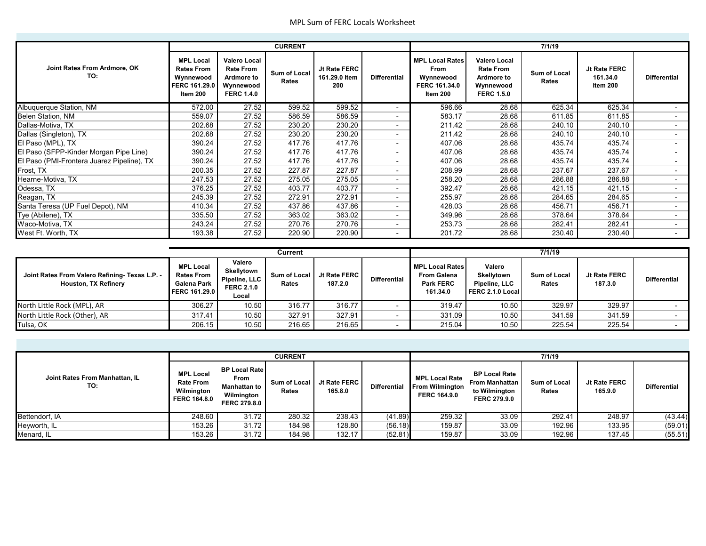|                                            |                                                                                 |                                                                                                | <b>CURRENT</b>        |                                      |                          |                                                                                 |                                                                                         | 7/1/19                |                                      |                          |
|--------------------------------------------|---------------------------------------------------------------------------------|------------------------------------------------------------------------------------------------|-----------------------|--------------------------------------|--------------------------|---------------------------------------------------------------------------------|-----------------------------------------------------------------------------------------|-----------------------|--------------------------------------|--------------------------|
|                                            |                                                                                 |                                                                                                |                       |                                      |                          |                                                                                 |                                                                                         |                       |                                      |                          |
| Joint Rates From Ardmore, OK<br>TO:        | <b>MPL Local</b><br><b>Rates From</b><br>Wynnewood<br>FERC 161.29.0<br>Item 200 | <b>Valero Local</b><br><b>Rate From</b><br><b>Ardmore to</b><br>Wynnewood<br><b>FERC 1.4.0</b> | Sum of Local<br>Rates | Jt Rate FERC<br>161.29.0 Item<br>200 | <b>Differential</b>      | <b>MPL Local Rates</b><br><b>From</b><br>Wynnewood<br>FERC 161.34.0<br>Item 200 | <b>Valero Local</b><br><b>Rate From</b><br>Ardmore to<br>Wynnewood<br><b>FERC 1.5.0</b> | Sum of Local<br>Rates | Jt Rate FERC<br>161.34.0<br>Item 200 | <b>Differential</b>      |
| Albuquerque Station, NM                    | 572.00                                                                          | 27.52                                                                                          | 599.52                | 599.52                               | $\overline{\phantom{a}}$ | 596.66                                                                          | 28.68                                                                                   | 625.34                | 625.34                               |                          |
| Belen Station, NM                          | 559.07                                                                          | 27.52                                                                                          | 586.59                | 586.59                               | $\blacksquare$           | 583.17                                                                          | 28.68                                                                                   | 611.85                | 611.85                               |                          |
| Dallas-Motiva, TX                          | 202.68                                                                          | 27.52                                                                                          | 230.20                | 230.20                               | $\overline{\phantom{a}}$ | 211.42                                                                          | 28.68                                                                                   | 240.10                | 240.10                               | $\overline{a}$           |
| Dallas (Singleton), TX                     | 202.68                                                                          | 27.52                                                                                          | 230.20                | 230.20                               | $\blacksquare$           | 211.42                                                                          | 28.68                                                                                   | 240.10                | 240.10                               |                          |
| El Paso (MPL), TX                          | 390.24                                                                          | 27.52                                                                                          | 417.76                | 417.76                               | $\blacksquare$           | 407.06                                                                          | 28.68                                                                                   | 435.74                | 435.74                               | $\overline{\phantom{a}}$ |
| El Paso (SFPP-Kinder Morgan Pipe Line)     | 390.24                                                                          | 27.52                                                                                          | 417.76                | 417.76                               | $\overline{\phantom{a}}$ | 407.06                                                                          | 28.68                                                                                   | 435.74                | 435.74                               | $\overline{a}$           |
| El Paso (PMI-Frontera Juarez Pipeline), TX | 390.24                                                                          | 27.52                                                                                          | 417.76                | 417.76                               | $\blacksquare$           | 407.06                                                                          | 28.68                                                                                   | 435.74                | 435.74                               |                          |
| Frost, TX                                  | 200.35                                                                          | 27.52                                                                                          | 227.87                | 227.87                               | $\blacksquare$           | 208.99                                                                          | 28.68                                                                                   | 237.67                | 237.67                               |                          |
| Hearne-Motiva, TX                          | 247.53                                                                          | 27.52                                                                                          | 275.05                | 275.05                               | $\overline{\phantom{a}}$ | 258.20                                                                          | 28.68                                                                                   | 286.88                | 286.88                               |                          |
| Odessa, TX                                 | 376.25                                                                          | 27.52                                                                                          | 403.77                | 403.77                               | $\blacksquare$           | 392.47                                                                          | 28.68                                                                                   | 421.15                | 421.15                               | $\overline{\phantom{a}}$ |
| Reagan, TX                                 | 245.39                                                                          | 27.52                                                                                          | 272.91                | 272.91                               | $\blacksquare$           | 255.97                                                                          | 28.68                                                                                   | 284.65                | 284.65                               | $\overline{\phantom{a}}$ |
| Santa Teresa (UP Fuel Depot), NM           | 410.34                                                                          | 27.52                                                                                          | 437.86                | 437.86                               | $\overline{\phantom{a}}$ | 428.03                                                                          | 28.68                                                                                   | 456.71                | 456.71                               | $\overline{\phantom{0}}$ |
| Tye (Abilene), TX                          | 335.50                                                                          | 27.52                                                                                          | 363.02                | 363.02                               | $\blacksquare$           | 349.96                                                                          | 28.68                                                                                   | 378.64                | 378.64                               | $\overline{\phantom{a}}$ |
| Waco-Motiva, TX                            | 243.24                                                                          | 27.52                                                                                          | 270.76                | 270.76                               | $\overline{\phantom{a}}$ | 253.73                                                                          | 28.68                                                                                   | 282.41                | 282.41                               | $\overline{a}$           |
| West Ft. Worth, TX                         | 193.38                                                                          | 27.52                                                                                          | 220.90                | 220.90                               | $\overline{\phantom{0}}$ | 201.72                                                                          | 28.68                                                                                   | 230.40                | 230.40                               |                          |

|                                                                               |                                                                       |                                                                     | Current               |                         |                          | 7/1/19                                                                       |                                                           |                              |                         |                     |  |
|-------------------------------------------------------------------------------|-----------------------------------------------------------------------|---------------------------------------------------------------------|-----------------------|-------------------------|--------------------------|------------------------------------------------------------------------------|-----------------------------------------------------------|------------------------------|-------------------------|---------------------|--|
| Joint Rates From Valero Refining- Texas L.P. -<br><b>Houston, TX Refinery</b> | <b>MPL Local</b><br><b>Rates From</b><br>Galena Park<br>FERC 161.29.0 | Valero<br>Skellytown<br>Pipeline, LLC<br><b>FERC 2.1.0</b><br>Local | Sum of Local<br>Rates | Jt Rate FERC<br>187.2.0 | <b>Differential</b>      | <b>MPL Local Rates</b><br><b>From Galena</b><br><b>Park FERC</b><br>161.34.0 | Valero<br>Skellytown<br>Pipeline, LLC<br>FERC 2.1.0 Local | <b>Sum of Local</b><br>Rates | Jt Rate FERC<br>187.3.0 | <b>Differential</b> |  |
| North Little Rock (MPL), AR                                                   | 306.27                                                                | 10.50                                                               | 316.77                | 316.77                  |                          | 319.47                                                                       | 10.50                                                     | 329.97                       | 329.97                  |                     |  |
| North Little Rock (Other), AR                                                 | 317.41                                                                | 10.50                                                               | 327.91                | 327.91                  | $\overline{\phantom{a}}$ | 331.09                                                                       | 10.50                                                     | 341.59                       | 341.59                  |                     |  |
| Tulsa, OK                                                                     | 206.15                                                                | 10.50                                                               | 216.65                | 216.65                  |                          | 215.04                                                                       | 10.50                                                     | 225.54                       | 225.54                  |                     |  |

|                                       |                                                                           |                                                                                   | <b>CURRENT</b>        |                         |                     | 7/1/19                                                                 |                                                                                       |                              |                         |                     |  |
|---------------------------------------|---------------------------------------------------------------------------|-----------------------------------------------------------------------------------|-----------------------|-------------------------|---------------------|------------------------------------------------------------------------|---------------------------------------------------------------------------------------|------------------------------|-------------------------|---------------------|--|
| Joint Rates From Manhattan, IL<br>TO: | <b>MPL Local</b><br><b>Rate From</b><br>Wilmington<br><b>FERC 164.8.0</b> | <b>BP Local Rate</b><br>From<br>Manhattan to<br>Wilmington<br><b>FERC 279.8.0</b> | Sum of Local<br>Rates | Jt Rate FERC<br>165.8.0 | <b>Differential</b> | <b>MPL Local Rate</b><br><b>From Wilmington</b><br><b>FERC 164.9.0</b> | <b>BP Local Rate</b><br><b>From Manhattan</b><br>to Wilmington<br><b>FERC 279.9.0</b> | <b>Sum of Local</b><br>Rates | Jt Rate FERC<br>165.9.0 | <b>Differential</b> |  |
| Bettendorf, IA                        | 248.60                                                                    | 31.72                                                                             | 280.32                | 238.43                  | (41.89)             | 259.32                                                                 | 33.09                                                                                 | 292.41                       | 248.97                  | (43.44)             |  |
| Heyworth, IL                          | 153.26                                                                    | 31.72                                                                             | 184.98                | 128.80                  | (56.18)             | 159.87                                                                 | 33.09                                                                                 | 192.96                       | 133.95                  | (59.01)             |  |
| Menard, IL                            | 153.26                                                                    | 31.72                                                                             | 184.98                | 132.17                  | (52.81)             | 159.87                                                                 | 33.09                                                                                 | 192.96                       | 137.45                  | (55.51)             |  |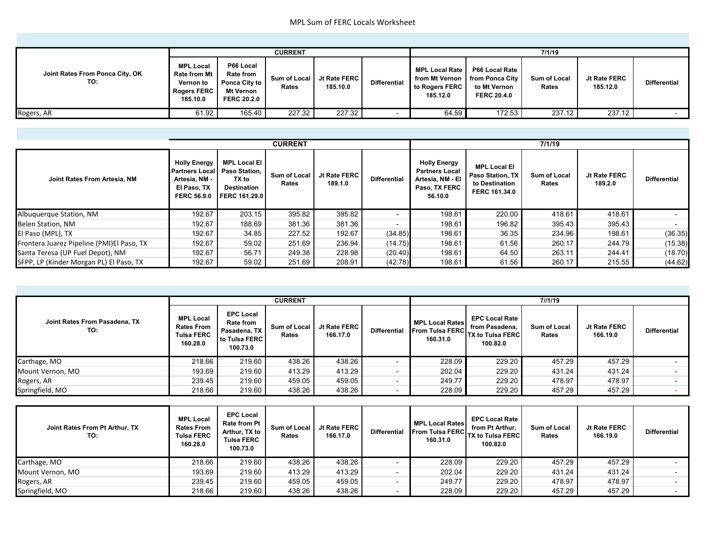|                                        |                                                                                        |                                                                                   | <b>CURRENT</b>        |                          |                     | 7/1/19                                                                                  |                                                      |                              |                          |                     |  |
|----------------------------------------|----------------------------------------------------------------------------------------|-----------------------------------------------------------------------------------|-----------------------|--------------------------|---------------------|-----------------------------------------------------------------------------------------|------------------------------------------------------|------------------------------|--------------------------|---------------------|--|
| Joint Rates From Ponca City, OK<br>TO: | <b>MPL Local</b><br><b>Rate from Mt</b><br>Vernon to<br><b>Rogers FERC</b><br>185.10.0 | P66 Local<br><b>Rate from</b><br>Ponca City to<br>Mt Vernon<br><b>FERC 20.2.0</b> | Sum of Local<br>Rates | Jt Rate FERC<br>185.10.0 | <b>Differential</b> | <b>MPL Local Rate</b><br>from Mt Vernon   from Ponca City<br>to Rogers FERC<br>185.12.0 | P66 Local Rate<br>to Mt Vernon<br><b>FERC 20.4.0</b> | <b>Sum of Local</b><br>Rates | Jt Rate FERC<br>185.12.0 | <b>Differential</b> |  |
| Rogers, AR                             | 61.92                                                                                  | 165.40                                                                            | 227.32                | 227.32                   | $\sim$              | 64.59                                                                                   | 172.53                                               | 237.12                       | 237.12                   |                     |  |

|                                           |                                                                                                                  |                                                                            | <b>CURRENT</b>               |                         |                          | 7/1/19                                                                                       |                                                                                   |                              |                         |                     |  |  |  |
|-------------------------------------------|------------------------------------------------------------------------------------------------------------------|----------------------------------------------------------------------------|------------------------------|-------------------------|--------------------------|----------------------------------------------------------------------------------------------|-----------------------------------------------------------------------------------|------------------------------|-------------------------|---------------------|--|--|--|
| Joint Rates From Artesia, NM              | <b>Holly Energy</b><br><b>Partners Local Paso Station.</b><br>Artesia, NM -<br>El Paso, TX<br><b>FERC 56.9.0</b> | <b>MPL Local El</b><br>TX to<br><b>Destination</b><br><b>FERC 161.29.0</b> | <b>Sum of Local</b><br>Rates | Jt Rate FERC<br>189.1.0 | <b>Differential</b>      | <b>Holly Energy</b><br><b>Partners Local</b><br>Artesia. NM - EI<br>Paso, TX FERC<br>56.10.0 | <b>MPL Local EI</b><br><b>Paso Station, TX</b><br>to Destination<br>FERC 161.34.0 | <b>Sum of Local</b><br>Rates | Jt Rate FERC<br>189.2.0 | <b>Differential</b> |  |  |  |
| Albuquerque Station, NM                   | 192.67                                                                                                           | 203.15                                                                     | 395.82                       | 395.82                  | $\overline{\phantom{0}}$ | 198.61                                                                                       | 220.00                                                                            | 418.61                       | 418.61                  |                     |  |  |  |
| <b>Belen Station, NM</b>                  | 192.67                                                                                                           | 188.69                                                                     | 381.36                       | 381.36                  | $\overline{\phantom{0}}$ | 198.61                                                                                       | 196.82                                                                            | 395.43                       | 395.43                  |                     |  |  |  |
| El Paso (MPL), TX                         | 192.67                                                                                                           | 34.85                                                                      | 227.52                       | 192.67                  | (34.85)                  | 198.61                                                                                       | 36.35                                                                             | 234.96                       | 198.61                  | (36.35)             |  |  |  |
| Frontera Juarez Pipeline (PMI)El Paso, TX | 192.67                                                                                                           | 59.02                                                                      | 251.69                       | 236.94                  | (14.75)                  | 198.61                                                                                       | 61.56                                                                             | 260.17                       | 244.79                  | (15.38)             |  |  |  |
| Santa Teresa (UP Fuel Depot), NM          | 192.67                                                                                                           | 56.71                                                                      | 249.38                       | 228.98                  | (20.40)                  | 198.61                                                                                       | 64.50                                                                             | 263.11                       | 244.41                  | (18.70)             |  |  |  |
| SFPP, LP (Kinder Morgan PL) El Paso, TX   | 192.67                                                                                                           | 59.02                                                                      | 251.69                       | 208.91                  | (42.78)                  | 198.61                                                                                       | 61.56                                                                             | 260.17                       | 215.55                  | (44.62)             |  |  |  |

|                                      |                                                                        |                                                                                   | <b>CURRENT</b>               |                          |                          | 7//1/19                                                      |                                                                                |                              |                          |                     |  |
|--------------------------------------|------------------------------------------------------------------------|-----------------------------------------------------------------------------------|------------------------------|--------------------------|--------------------------|--------------------------------------------------------------|--------------------------------------------------------------------------------|------------------------------|--------------------------|---------------------|--|
| Joint Rates From Pasadena. TX<br>TO: | <b>MPL Local</b><br><b>Rates From</b><br><b>Tulsa FERC</b><br>160.28.0 | <b>EPC Local</b><br><b>Rate from</b><br>Pasadena, TX<br>to Tulsa FERC<br>100.73.0 | <b>Sum of Local</b><br>Rates | Jt Rate FERC<br>166.17.0 | <b>Differential</b>      | <b>MPL Local Rates</b><br><b>From Tulsa FERC</b><br>160.31.0 | <b>EPC Local Rate</b><br>from Pasadena.<br><b>TX to Tulsa FERC</b><br>100.82.0 | <b>Sum of Local</b><br>Rates | Jt Rate FERC<br>166.19.0 | <b>Differential</b> |  |
| Carthage, MO                         | 218.66                                                                 | 219.60                                                                            | 438.26                       | 438.26                   | $\overline{\phantom{0}}$ | 228.09                                                       | 229.20                                                                         | 457.29                       | 457.29                   |                     |  |
| Mount Vernon, MO                     | 193.69                                                                 | 219.60                                                                            | 413.29                       | 413.29                   | $\overline{\phantom{a}}$ | 202.04                                                       | 229.20                                                                         | 431.24                       | 431.24                   |                     |  |
| Rogers, AR                           | 239.45                                                                 | 219.60                                                                            | 459.05                       | 459.05                   | $\overline{\phantom{a}}$ | 249.77                                                       | 229.20                                                                         | 478.97                       | 478.97                   |                     |  |
| Springfield, MO                      | 218.66                                                                 | 219.60                                                                            | 438.26                       | 438.26                   | $\overline{\phantom{0}}$ | 228.09                                                       | 229.20                                                                         | 457.29                       | 457.29                   |                     |  |

| Joint Rates From Pt Arthur. TX<br>TO: | <b>MPL Local</b><br><b>Rates From</b><br><b>Tulsa FERC</b><br>160.28.0 | <b>EPC Local</b><br><b>Rate from Pt</b><br>Arthur. TX to<br><b>Tulsa FERC</b><br>100.73.0 | <b>Sum of Local</b><br>Rates | Jt Rate FERC<br>166.17.0 | <b>Differential</b> | <b>MPL Local Rates</b><br><b>From Tulsa FERC</b><br>160.31.0 | <b>EPC Local Rate</b><br>from Pt Arthur.<br><b>TX to Tulsa FERC</b><br>100.82.0 | <b>Sum of Local</b><br>Rates | Jt Rate FERC<br>166.19.0 | <b>Differential</b> |
|---------------------------------------|------------------------------------------------------------------------|-------------------------------------------------------------------------------------------|------------------------------|--------------------------|---------------------|--------------------------------------------------------------|---------------------------------------------------------------------------------|------------------------------|--------------------------|---------------------|
| Carthage, MO                          | 218.66                                                                 | 219.60                                                                                    | 438.26                       | 438.26                   |                     | 228.09                                                       | 229.20                                                                          | 457.29                       | 457.29                   |                     |
| Mount Vernon, MO                      | 193.69                                                                 | 219.60                                                                                    | 413.29                       | 413.29                   |                     | 202.04                                                       | 229.20                                                                          | 431.24                       | 431.24                   |                     |
| Rogers, AR                            | 239.45                                                                 | 219.60                                                                                    | 459.05                       | 459.05                   |                     | 249.77                                                       | 229.20                                                                          | 478.97                       | 478.97                   |                     |
| Springfield, MO                       | 218.66                                                                 | 219.60                                                                                    | 438.26                       | 438.26                   |                     | 228.09                                                       | 229.20                                                                          | 457.29                       | 457.29                   |                     |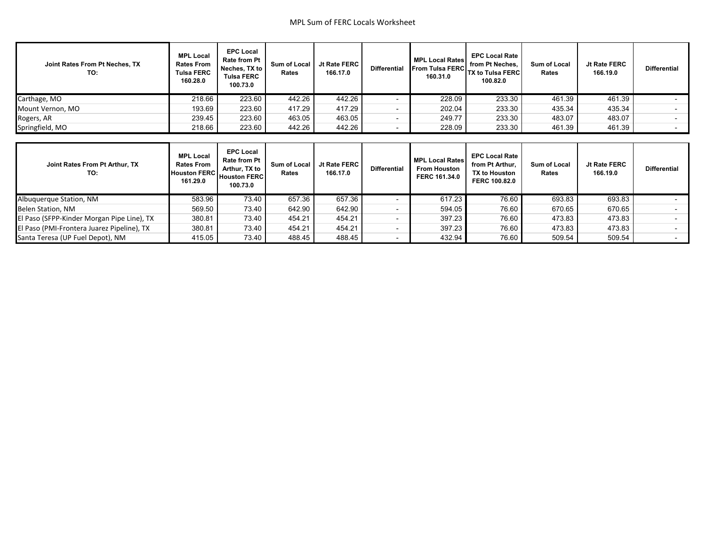| Joint Rates From Pt Neches, TX<br>TO:      | <b>MPL Local</b><br><b>Rates From</b><br><b>Tulsa FERC</b><br>160.28.0   | <b>EPC Local</b><br>Rate from Pt<br>Neches, TX to<br><b>Tulsa FERC</b><br>100.73.0          | Sum of Local<br>Rates | Jt Rate FERC<br>166.17.0 | <b>Differential</b>      | <b>MPL Local Rates</b><br><b>From Tulsa FERC</b><br>160.31.0   | <b>EPC Local Rate</b><br>from Pt Neches.<br><b>TX to Tulsa FERC</b><br>100.82.0   | Sum of Local<br>Rates | Jt Rate FERC<br>166.19.0 | <b>Differential</b> |  |  |  |  |  |  |  |  |
|--------------------------------------------|--------------------------------------------------------------------------|---------------------------------------------------------------------------------------------|-----------------------|--------------------------|--------------------------|----------------------------------------------------------------|-----------------------------------------------------------------------------------|-----------------------|--------------------------|---------------------|--|--|--|--|--|--|--|--|
| Carthage, MO                               | 218.66                                                                   | 223.60                                                                                      | 442.26                | 442.26                   | $\overline{\phantom{a}}$ | 228.09                                                         | 233.30                                                                            | 461.39                | 461.39                   |                     |  |  |  |  |  |  |  |  |
| Mount Vernon, MO                           | 193.69                                                                   | 223.60                                                                                      | 417.29                | 417.29                   | $\overline{\phantom{a}}$ | 202.04                                                         | 233.30                                                                            | 435.34                | 435.34                   |                     |  |  |  |  |  |  |  |  |
| Rogers, AR                                 | 239.45                                                                   | 223.60                                                                                      | 463.05                | 463.05                   | $\blacksquare$           | 249.77                                                         | 233.30                                                                            | 483.07                | 483.07                   |                     |  |  |  |  |  |  |  |  |
| Springfield, MO                            | 218.66                                                                   | 223.60                                                                                      | 442.26                | 442.26                   | $\blacksquare$           | 228.09                                                         | 233.30                                                                            | 461.39                | 461.39                   |                     |  |  |  |  |  |  |  |  |
|                                            |                                                                          |                                                                                             |                       |                          |                          |                                                                |                                                                                   |                       |                          |                     |  |  |  |  |  |  |  |  |
|                                            |                                                                          |                                                                                             |                       |                          |                          |                                                                |                                                                                   |                       |                          |                     |  |  |  |  |  |  |  |  |
| Joint Rates From Pt Arthur, TX<br>TO:      | <b>MPL Local</b><br><b>Rates From</b><br><b>Houston FERC</b><br>161.29.0 | <b>EPC Local</b><br><b>Rate from Pt</b><br>Arthur, TX to<br><b>Houston FERC</b><br>100.73.0 | Sum of Local<br>Rates | Jt Rate FERC<br>166.17.0 | <b>Differential</b>      | <b>MPL Local Rates</b><br><b>From Houston</b><br>FERC 161.34.0 | <b>EPC Local Rate</b><br>from Pt Arthur,<br><b>TX to Houston</b><br>FERC 100.82.0 | Sum of Local<br>Rates | Jt Rate FERC<br>166.19.0 | <b>Differential</b> |  |  |  |  |  |  |  |  |
| Albuquerque Station, NM                    | 583.96                                                                   | 73.40                                                                                       | 657.36                | 657.36                   | $\overline{\phantom{a}}$ | 617.23                                                         | 76.60                                                                             | 693.83                | 693.83                   |                     |  |  |  |  |  |  |  |  |
| Belen Station, NM                          | 569.50                                                                   | 73.40                                                                                       | 642.90                | 642.90                   | $\overline{\phantom{a}}$ | 594.05                                                         | 76.60                                                                             | 670.65                | 670.65                   |                     |  |  |  |  |  |  |  |  |
| El Paso (SFPP-Kinder Morgan Pipe Line), TX | 380.81                                                                   | 73.40                                                                                       | 454.21                | 454.21                   | $\overline{\phantom{a}}$ | 397.23                                                         | 76.60                                                                             | 473.83                | 473.83                   |                     |  |  |  |  |  |  |  |  |
| El Paso (PMI-Frontera Juarez Pipeline), TX | 380.81                                                                   | 73.40                                                                                       | 454.21                | 454.21                   | $\overline{\phantom{a}}$ | 397.23                                                         | 76.60                                                                             | 473.83                | 473.83                   |                     |  |  |  |  |  |  |  |  |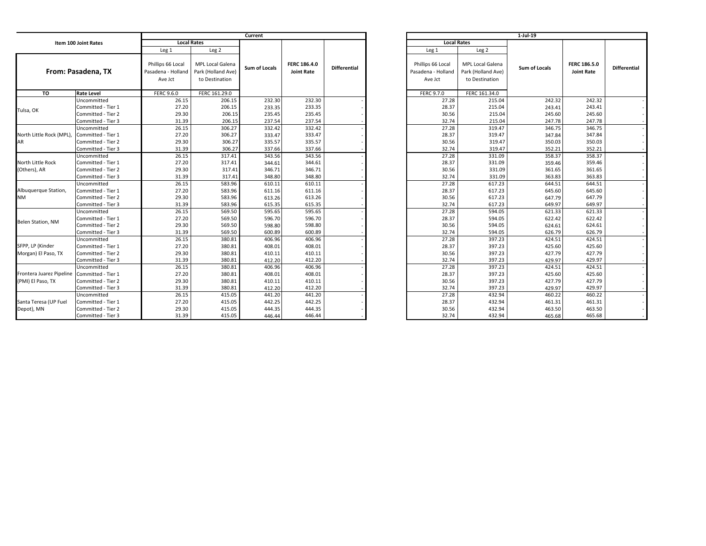|                          |                    | Current                                            |                                                                 |               |                                   |                     |  | $1-Jul-19$                                         |                                                          |               |                                          |                     |  |
|--------------------------|--------------------|----------------------------------------------------|-----------------------------------------------------------------|---------------|-----------------------------------|---------------------|--|----------------------------------------------------|----------------------------------------------------------|---------------|------------------------------------------|---------------------|--|
| Item 100 Joint Rates     |                    | <b>Local Rates</b>                                 |                                                                 |               |                                   |                     |  | <b>Local Rates</b>                                 |                                                          |               |                                          |                     |  |
|                          |                    | Leg <sub>1</sub>                                   | Leg <sub>2</sub>                                                |               |                                   |                     |  | Leg <sub>1</sub>                                   | Leg <sub>2</sub>                                         |               |                                          |                     |  |
|                          | From: Pasadena, TX | Phillips 66 Local<br>Pasadena - Holland<br>Ave Jct | <b>MPL Local Galena</b><br>Park (Holland Ave)<br>to Destination | Sum of Locals | FERC 186.4.0<br><b>Joint Rate</b> | <b>Differential</b> |  | Phillips 66 Local<br>Pasadena - Holland<br>Ave Jct | MPL Local Galena<br>Park (Holland Ave)<br>to Destination | Sum of Locals | <b>FERC 186.5.0</b><br><b>Joint Rate</b> | <b>Differential</b> |  |
| TO                       | <b>Rate Level</b>  | <b>FERC 9.6.0</b>                                  | FERC 161.29.0                                                   |               |                                   |                     |  | FERC 9.7.0                                         | FERC 161.34.0                                            |               |                                          |                     |  |
|                          | Uncommitted        | 26.15                                              | 206.15                                                          | 232.30        | 232.30                            |                     |  | 27.28                                              | 215.04                                                   | 242.32        | 242.32                                   |                     |  |
|                          | Committed - Tier 1 | 27.20                                              | 206.15                                                          | 233.35        | 233.35                            |                     |  | 28.37                                              | 215.04                                                   | 243.41        | 243.41                                   |                     |  |
| Tulsa, OK                | Committed - Tier 2 | 29.30                                              | 206.15                                                          | 235.45        | 235.45                            |                     |  | 30.56                                              | 215.04                                                   | 245.60        | 245.60                                   |                     |  |
|                          | Committed - Tier 3 | 31.39                                              | 206.15                                                          | 237.54        | 237.54                            |                     |  | 32.74                                              | 215.04                                                   | 247.78        | 247.78                                   |                     |  |
|                          | Uncommitted        | 26.15                                              | 306.27                                                          | 332.42        | 332.42                            |                     |  | 27.28                                              | 319.47                                                   | 346.75        | 346.75                                   |                     |  |
| North Little Rock (MPL), | Committed - Tier 1 | 27.20                                              | 306.27                                                          | 333.47        | 333.47                            |                     |  | 28.37                                              | 319.47                                                   | 347.84        | 347.84                                   |                     |  |
| AR                       | Committed - Tier 2 | 29.30                                              | 306.27                                                          | 335.57        | 335.57                            |                     |  | 30.56                                              | 319.47                                                   | 350.03        | 350.03                                   |                     |  |
|                          | Committed - Tier 3 | 31.39                                              | 306.27                                                          | 337.66        | 337.66                            |                     |  | 32.74                                              | 319.47                                                   | 352.21        | 352.21                                   |                     |  |
|                          | Uncommitted        | 26.15                                              | 317.41                                                          | 343.56        | 343.56                            |                     |  | 27.28                                              | 331.09                                                   | 358.37        | 358.37                                   |                     |  |
| North Little Rock        | Committed - Tier 1 | 27.20                                              | 317.41                                                          | 344.61        | 344.61                            |                     |  | 28.37                                              | 331.09                                                   | 359.46        | 359.46                                   |                     |  |
| (Others), AR             | Committed - Tier 2 | 29.30                                              | 317.41                                                          | 346.71        | 346.71                            |                     |  | 30.56                                              | 331.09                                                   | 361.65        | 361.65                                   |                     |  |
|                          | Committed - Tier 3 | 31.39                                              | 317.41                                                          | 348.80        | 348.80                            |                     |  | 32.74                                              | 331.09                                                   | 363.83        | 363.83                                   |                     |  |
|                          | Uncommitted        | 26.15                                              | 583.96                                                          | 610.11        | 610.11                            |                     |  | 27.28                                              | 617.23                                                   | 644.51        | 644.51                                   |                     |  |
| Albuquerque Station,     | Committed - Tier 1 | 27.20                                              | 583.96                                                          | 611.16        | 611.16                            |                     |  | 28.37                                              | 617.23                                                   | 645.60        | 645.60                                   |                     |  |
| <b>NM</b>                | Committed - Tier 2 | 29.30                                              | 583.96                                                          | 613.26        | 613.26                            |                     |  | 30.56                                              | 617.23                                                   | 647.79        | 647.79                                   |                     |  |
|                          | Committed - Tier 3 | 31.39                                              | 583.96                                                          | 615.35        | 615.35                            |                     |  | 32.74                                              | 617.23                                                   | 649.97        | 649.97                                   |                     |  |
|                          | Uncommitted        | 26.15                                              | 569.50                                                          | 595.65        | 595.65                            |                     |  | 27.28                                              | 594.05                                                   | 621.33        | 621.33                                   |                     |  |
| Belen Station, NM        | Committed - Tier 1 | 27.20                                              | 569.50                                                          | 596.70        | 596.70                            |                     |  | 28.37                                              | 594.05                                                   | 622.42        | 622.42                                   |                     |  |
|                          | Committed - Tier 2 | 29.30                                              | 569.50                                                          | 598.80        | 598.80                            |                     |  | 30.56                                              | 594.05                                                   | 624.61        | 624.61                                   |                     |  |
|                          | Committed - Tier 3 | 31.39                                              | 569.50                                                          | 600.89        | 600.89                            |                     |  | 32.74                                              | 594.05                                                   | 626.79        | 626.79                                   |                     |  |
|                          | Uncommitted        | 26.15                                              | 380.81                                                          | 406.96        | 406.96                            |                     |  | 27.28                                              | 397.23                                                   | 424.51        | 424.51                                   |                     |  |
| SFPP, LP (Kinder         | Committed - Tier 1 | 27.20                                              | 380.81                                                          | 408.01        | 408.01                            |                     |  | 28.37                                              | 397.23                                                   | 425.60        | 425.60                                   |                     |  |
| Morgan) El Paso, TX      | Committed - Tier 2 | 29.30                                              | 380.81                                                          | 410.11        | 410.11                            |                     |  | 30.56                                              | 397.23                                                   | 427.79        | 427.79                                   |                     |  |
|                          | Committed - Tier 3 | 31.39                                              | 380.81                                                          | 412.20        | 412.20                            |                     |  | 32.74                                              | 397.23                                                   | 429.97        | 429.97                                   |                     |  |
|                          | Uncommitted        | 26.15                                              | 380.81                                                          | 406.96        | 406.96                            |                     |  | 27.28                                              | 397.23                                                   | 424.51        | 424.51                                   |                     |  |
| Frontera Juarez Pipeline | Committed - Tier 1 | 27.20                                              | 380.81                                                          | 408.01        | 408.01                            |                     |  | 28.37                                              | 397.23                                                   | 425.60        | 425.60                                   |                     |  |
| (PMI) El Paso, TX        | Committed - Tier 2 | 29.30                                              | 380.81                                                          | 410.11        | 410.11                            |                     |  | 30.56                                              | 397.23                                                   | 427.79        | 427.79                                   |                     |  |
|                          | Committed - Tier 3 | 31.39                                              | 380.81                                                          | 412.20        | 412.20                            |                     |  | 32.74                                              | 397.23                                                   | 429.97        | 429.97                                   |                     |  |
|                          | Uncommitted        | 26.15                                              | 415.05                                                          | 441.20        | 441.20                            |                     |  | 27.28                                              | 432.94                                                   | 460.22        | 460.22                                   |                     |  |
| Santa Teresa (UP Fuel    | Committed - Tier 1 | 27.20                                              | 415.05                                                          | 442.25        | 442.25                            |                     |  | 28.37                                              | 432.94                                                   | 461.31        | 461.31                                   |                     |  |
| Depot), MN               | Committed - Tier 2 | 29.30                                              | 415.05                                                          | 444.35        | 444.35                            |                     |  | 30.56                                              | 432.94                                                   | 463.50        | 463.50                                   |                     |  |
|                          | Committed - Tier 3 | 31.39                                              | 415.05                                                          | 446.44        | 446.44                            |                     |  | 32.74                                              | 432.94                                                   | 465.68        | 465.68                                   |                     |  |

| $1$ -Jul-19        |                         |                      |                     |                     |  |  |  |
|--------------------|-------------------------|----------------------|---------------------|---------------------|--|--|--|
| <b>Local Rates</b> |                         |                      |                     |                     |  |  |  |
| Leg 1              | Leg <sub>2</sub>        |                      |                     |                     |  |  |  |
|                    |                         |                      |                     |                     |  |  |  |
| Phillips 66 Local  | <b>MPL Local Galena</b> | <b>Sum of Locals</b> | <b>FERC 186.5.0</b> | <b>Differential</b> |  |  |  |
| Pasadena - Holland | Park (Holland Ave)      |                      | <b>Joint Rate</b>   |                     |  |  |  |
| Ave Jct            | to Destination          |                      |                     |                     |  |  |  |
|                    |                         |                      |                     |                     |  |  |  |
| <b>FERC 9.7.0</b>  | FERC 161.34.0           |                      |                     |                     |  |  |  |
| 27.28              | 215.04                  | 242.32               | 242.32              |                     |  |  |  |
| 28.37              | 215.04                  | 243.41               | 243.41              |                     |  |  |  |
| 30.56              | 215.04                  | 245.60               | 245.60              |                     |  |  |  |
| 32.74              | 215.04                  | 247.78               | 247.78              |                     |  |  |  |
| 27.28              | 319.47                  | 346.75               | 346.75              |                     |  |  |  |
| 28.37              | 319.47                  | 347.84               | 347.84              |                     |  |  |  |
| 30.56              | 319.47                  | 350.03               | 350.03              |                     |  |  |  |
| 32.74              | 319.47                  | 352.21               | 352.21              |                     |  |  |  |
| 27.28              | 331.09                  | 358.37               | 358.37              |                     |  |  |  |
| 28.37              | 331.09                  | 359.46               | 359.46              |                     |  |  |  |
| 30.56              | 331.09                  | 361.65               | 361.65              |                     |  |  |  |
| 32.74              | 331.09                  | 363.83               | 363.83              |                     |  |  |  |
| 27.28              | 617.23                  | 644.51               | 644.51              |                     |  |  |  |
| 28.37              | 617.23                  | 645.60               | 645.60              |                     |  |  |  |
| 30.56              | 617.23                  | 647.79               | 647.79              |                     |  |  |  |
| 32.74              | 617.23                  | 649.97               | 649.97              |                     |  |  |  |
| 27.28              | 594.05                  | 621.33               | 621.33              |                     |  |  |  |
| 28.37              | 594.05                  | 622.42               | 622.42              |                     |  |  |  |
| 30.56              | 594.05                  | 624.61               | 624.61              |                     |  |  |  |
| 32.74              | 594.05                  | 626.79               | 626.79              |                     |  |  |  |
| 27.28              | 397.23                  | 424.51               | 424.51              |                     |  |  |  |
| 28.37              | 397.23                  | 425.60               | 425.60              |                     |  |  |  |
| 30.56              | 397.23                  | 427.79               | 427.79              |                     |  |  |  |
| 32.74              | 397.23                  | 429.97               | 429.97              |                     |  |  |  |
| 27.28              | 397.23                  | 424.51               | 424.51              |                     |  |  |  |
| 28.37              | 397.23                  | 425.60               | 425.60              |                     |  |  |  |
| 30.56              | 397.23                  | 427.79               | 427.79              |                     |  |  |  |
| 32.74              | 397.23                  | 429.97               | 429.97              |                     |  |  |  |
| 27.28              | 432.94                  | 460.22               | 460.22              |                     |  |  |  |
| 28.37              | 432.94                  | 461.31               | 461.31              |                     |  |  |  |
| 30.56              | 432.94                  | 463.50               | 463.50              |                     |  |  |  |
| 32.74              | 432.94                  | 465.68               | 465.68              |                     |  |  |  |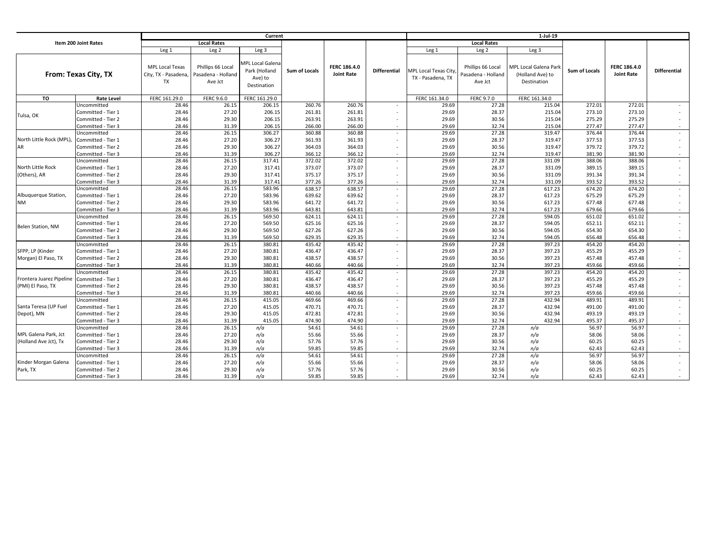|                          |                      | Current                                                     |                                                    |                                                                    |               |                                   |                          | 1-Jul-19                                         |                                                    |                                                          |                      |                                   |                     |
|--------------------------|----------------------|-------------------------------------------------------------|----------------------------------------------------|--------------------------------------------------------------------|---------------|-----------------------------------|--------------------------|--------------------------------------------------|----------------------------------------------------|----------------------------------------------------------|----------------------|-----------------------------------|---------------------|
| Item 200 Joint Rates     |                      |                                                             | <b>Local Rates</b>                                 |                                                                    |               |                                   |                          |                                                  | <b>Local Rates</b>                                 |                                                          |                      |                                   |                     |
|                          |                      | Leg <sub>1</sub>                                            | Leg <sub>2</sub>                                   | Leg <sub>3</sub>                                                   |               |                                   |                          | Leg <sub>1</sub>                                 | Leg <sub>2</sub>                                   | Leg <sub>3</sub>                                         |                      |                                   |                     |
|                          | From: Texas City, TX | <b>MPL Local Texas</b><br>City, TX - Pasadena,<br><b>TX</b> | Phillips 66 Local<br>Pasadena - Holland<br>Ave Jct | <b>APL Local Galena</b><br>Park (Holland<br>Ave) to<br>Destination | Sum of Locals | FERC 186.4.0<br><b>Joint Rate</b> | <b>Differential</b>      | <b>MPL Local Texas City</b><br>TX - Pasadena, TX | Phillips 66 Local<br>Pasadena - Holland<br>Ave Jct | MPL Local Galena Park<br>(Holland Ave) to<br>Destination | <b>Sum of Locals</b> | FERC 186.4.0<br><b>Joint Rate</b> | <b>Differential</b> |
| TO                       | <b>Rate Level</b>    | FERC 161.29.0                                               | <b>FERC 9.6.0</b>                                  | FERC 161.29.0                                                      |               |                                   |                          | FERC 161.34.0                                    | FERC 9.7.0                                         | FERC 161.34.0                                            |                      |                                   |                     |
|                          | Uncommitted          | 28.46                                                       | 26.15                                              | 206.15                                                             | 260.76        | 260.76                            |                          | 29.69                                            | 27.28                                              | 215.04                                                   | 272.01               | 272.01                            |                     |
| Tulsa, OK                | Committed - Tier 1   | 28.46                                                       | 27.20                                              | 206.15                                                             | 261.81        | 261.81                            | ٠                        | 29.69                                            | 28.37                                              | 215.04                                                   | 273.10               | 273.10                            |                     |
|                          | Committed - Tier 2   | 28.46                                                       | 29.30                                              | 206.15                                                             | 263.91        | 263.91                            |                          | 29.69                                            | 30.56                                              | 215.04                                                   | 275.29               | 275.29                            |                     |
|                          | Committed - Tier 3   | 28.46                                                       | 31.39                                              | 206.15                                                             | 266.00        | 266.00                            | $\sim$                   | 29.69                                            | 32.74                                              | 215.04                                                   | 277.47               | 277.47                            |                     |
|                          | Uncommitted          | 28.46                                                       | 26.15                                              | 306.27                                                             | 360.88        | 360.88                            | ٠                        | 29.69                                            | 27.28                                              | 319.47                                                   | 376.44               | 376.44                            |                     |
| North Little Rock (MPL), | Committed - Tier 1   | 28.46                                                       | 27.20                                              | 306.27                                                             | 361.93        | 361.93                            | ٠                        | 29.69                                            | 28.37                                              | 319.47                                                   | 377.53               | 377.53                            |                     |
|                          | Committed - Tier 2   | 28.46                                                       | 29.30                                              | 306.27                                                             | 364.03        | 364.03                            |                          | 29.69                                            | 30.56                                              | 319.47                                                   | 379.72               | 379.72                            |                     |
|                          | Committed - Tier 3   | 28.46                                                       | 31.39                                              | 306.27                                                             | 366.12        | 366.12                            | $\overline{\phantom{a}}$ | 29.69                                            | 32.74                                              | 319.47                                                   | 381.90               | 381.90                            |                     |
|                          | Uncommitted          | 28.46                                                       | 26.15                                              | 317.41                                                             | 372.02        | 372.02                            | ٠                        | 29.69                                            | 27.28                                              | 331.09                                                   | 388.06               | 388.06                            |                     |
| North Little Rock        | Committed - Tier 1   | 28.46                                                       | 27.20                                              | 317.41                                                             | 373.07        | 373.07                            | ٠                        | 29.69                                            | 28.37                                              | 331.09                                                   | 389.15               | 389.15                            |                     |
| (Others), AR             | Committed - Tier 2   | 28.46                                                       | 29.30                                              | 317.41                                                             | 375.17        | 375.17                            |                          | 29.69                                            | 30.56                                              | 331.09                                                   | 391.34               | 391.34                            |                     |
|                          | Committed - Tier 3   | 28.46                                                       | 31.39                                              | 317.41                                                             | 377.26        | 377.26                            | $\blacksquare$           | 29.69                                            | 32.74                                              | 331.09                                                   | 393.52               | 393.52                            |                     |
|                          | Uncommitted          | 28.46                                                       | 26.15                                              | 583.96                                                             | 638.57        | 638.57                            | $\blacksquare$           | 29.69                                            | 27.28                                              | 617.23                                                   | 674.20               | 674.20                            |                     |
| Albuquerque Station,     | Committed - Tier 1   | 28.46                                                       | 27.20                                              | 583.96                                                             | 639.62        | 639.62                            | $\blacksquare$           | 29.69                                            | 28.37                                              | 617.23                                                   | 675.29               | 675.29                            |                     |
| ΝM                       | Committed - Tier 2   | 28.46                                                       | 29.30                                              | 583.96                                                             | 641.72        | 641.72                            |                          | 29.69                                            | 30.56                                              | 617.23                                                   | 677.48               | 677.48                            |                     |
|                          | Committed - Tier 3   | 28.46                                                       | 31.39                                              | 583.96                                                             | 643.81        | 643.81                            | ٠                        | 29.69                                            | 32.74                                              | 617.23                                                   | 679.66               | 679.66                            |                     |
|                          | Uncommitted          | 28.46                                                       | 26.15                                              | 569.50                                                             | 624.11        | 624.11                            | $\overline{\phantom{a}}$ | 29.69                                            | 27.28                                              | 594.05                                                   | 651.02               | 651.02                            |                     |
| Belen Station, NM        | Committed - Tier 1   | 28.46                                                       | 27.20                                              | 569.50                                                             | 625.16        | 625.16                            | $\overline{\phantom{a}}$ | 29.69                                            | 28.37                                              | 594.05                                                   | 652.11               | 652.11                            |                     |
|                          | Committed - Tier 2   | 28.46                                                       | 29.30                                              | 569.50                                                             | 627.26        | 627.26                            |                          | 29.69                                            | 30.56                                              | 594.05                                                   | 654.30               | 654.30                            |                     |
|                          | Committed - Tier 3   | 28.46                                                       | 31.39                                              | 569.50                                                             | 629.35        | 629.35                            | $\overline{\phantom{a}}$ | 29.69                                            | 32.74                                              | 594.05                                                   | 656.48               | 656.48                            |                     |
|                          | Uncommitted          | 28.46                                                       | 26.15                                              | 380.81                                                             | 435.42        | 435.42                            | $\blacksquare$           | 29.69                                            | 27.28                                              | 397.23                                                   | 454.20               | 454.20                            |                     |
| SFPP, LP (Kinder         | Committed - Tier 1   | 28.46                                                       | 27.20                                              | 380.81                                                             | 436.47        | 436.47                            | ٠                        | 29.69                                            | 28.37                                              | 397.23                                                   | 455.29               | 455.29                            |                     |
| Morgan) El Paso, TX      | Committed - Tier 2   | 28.46                                                       | 29.30                                              | 380.81                                                             | 438.57        | 438.57                            |                          | 29.69                                            | 30.56                                              | 397.23                                                   | 457.48               | 457.48                            |                     |
|                          | Committed - Tier 3   | 28.46                                                       | 31.39                                              | 380.81                                                             | 440.66        | 440.66                            | $\overline{\phantom{a}}$ | 29.69                                            | 32.74                                              | 397.23                                                   | 459.66               | 459.66                            |                     |
|                          | Uncommitted          | 28.46                                                       | 26.15                                              | 380.81                                                             | 435.42        | 435.42                            | $\overline{\phantom{a}}$ | 29.69                                            | 27.28                                              | 397.23                                                   | 454.20               | 454.20                            |                     |
| Frontera Juarez Pipeline | Committed - Tier 1   | 28.46                                                       | 27.20                                              | 380.81                                                             | 436.47        | 436.47                            | ٠                        | 29.69                                            | 28.37                                              | 397.23                                                   | 455.29               | 455.29                            |                     |
| (PMI) El Paso, TX        | Committed - Tier 2   | 28.46                                                       | 29.30                                              | 380.81                                                             | 438.57        | 438.57                            |                          | 29.69                                            | 30.56                                              | 397.23                                                   | 457.48               | 457.48                            |                     |
|                          | Committed - Tier 3   | 28.46                                                       | 31.39                                              | 380.81                                                             | 440.66        | 440.66                            | $\sim$                   | 29.69                                            | 32.74                                              | 397.23                                                   | 459.66               | 459.66                            |                     |
|                          | Uncommitted          | 28.46                                                       | 26.15                                              | 415.05                                                             | 469.66        | 469.66                            | $\sim$                   | 29.69                                            | 27.28                                              | 432.94                                                   | 489.91               | 489.91                            |                     |
| Santa Teresa (UP Fuel    | Committed - Tier 1   | 28.46                                                       | 27.20                                              | 415.05                                                             | 470.71        | 470.71                            |                          | 29.69                                            | 28.37                                              | 432.94                                                   | 491.00               | 491.00                            |                     |
| Depot), MN               | Committed - Tier 2   | 28.46                                                       | 29.30                                              | 415.05                                                             | 472.81        | 472.81                            | ٠                        | 29.69                                            | 30.56                                              | 432.94                                                   | 493.19               | 493.19                            |                     |
|                          | Committed - Tier 3   | 28.46                                                       | 31.39                                              | 415.05                                                             | 474.90        | 474.90                            | $\sim$                   | 29.69                                            | 32.74                                              | 432.94                                                   | 495.37               | 495.37                            |                     |
|                          | Uncommitted          | 28.46                                                       | 26.15                                              | n/a                                                                | 54.61         | 54.61                             | $\overline{\phantom{a}}$ | 29.69                                            | 27.28                                              | n/a                                                      | 56.97                | 56.97                             |                     |
| MPL Galena Park, Jct     | Committed - Tier 1   | 28.46                                                       | 27.20                                              | n/a                                                                | 55.66         | 55.66                             |                          | 29.69                                            | 28.37                                              | n/a                                                      | 58.06                | 58.06                             |                     |
| (Holland Ave Jct), Tx    | Committed - Tier 2   | 28.46                                                       | 29.30                                              | n/a                                                                | 57.76         | 57.76                             | ٠                        | 29.69                                            | 30.56                                              | n/a                                                      | 60.25                | 60.25                             |                     |
|                          | Committed - Tier 3   | 28.46                                                       | 31.39                                              | n/a                                                                | 59.85         | 59.85                             |                          | 29.69                                            | 32.74                                              | n/a                                                      | 62.43                | 62.43                             |                     |
|                          | Uncommitted          | 28.46                                                       | 26.15                                              | n/a                                                                | 54.61         | 54.61                             | $\overline{\phantom{a}}$ | 29.69                                            | 27.28                                              | n/a                                                      | 56.97                | 56.97                             |                     |
| Kinder Morgan Galena     | Committed - Tier 1   | 28.46                                                       | 27.20                                              | n/a                                                                | 55.66         | 55.66                             |                          | 29.69                                            | 28.37                                              | n/a                                                      | 58.06                | 58.06                             |                     |
| Park, TX                 | Committed - Tier 2   | 28.46                                                       | 29.30                                              | n/a                                                                | 57.76         | 57.76                             |                          | 29.69                                            | 30.56                                              | n/a                                                      | 60.25                | 60.25                             |                     |
|                          | Committed - Tier 3   | 28.46                                                       | 31.39                                              | n/a                                                                | 59.85         | 59.85                             | ٠                        | 29.69                                            | 32.74                                              | n/a                                                      | 62.43                | 62.43                             |                     |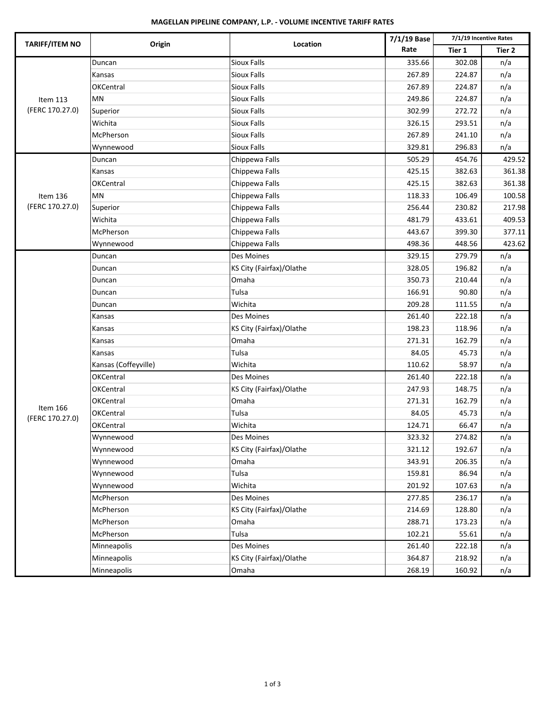# **MAGELLAN PIPELINE COMPANY, L.P. ‐ VOLUME INCENTIVE TARIFF RATES**

| <b>TARIFF/ITEM NO</b>       | Origin               | Location                 | 7/1/19 Base | 7/1/19 Incentive Rates |                   |  |
|-----------------------------|----------------------|--------------------------|-------------|------------------------|-------------------|--|
|                             |                      |                          | Rate        | Tier 1                 | Tier <sub>2</sub> |  |
|                             | Duncan               | <b>Sioux Falls</b>       | 335.66      | 302.08                 | n/a               |  |
|                             | Kansas               | Sioux Falls              | 267.89      | 224.87                 | n/a               |  |
| Item 113                    | <b>OKCentral</b>     | <b>Sioux Falls</b>       | 267.89      | 224.87                 | n/a               |  |
|                             | <b>MN</b>            | <b>Sioux Falls</b>       | 249.86      | 224.87                 | n/a               |  |
| (FERC 170.27.0)             | Superior             | <b>Sioux Falls</b>       | 302.99      | 272.72                 | n/a               |  |
|                             | Wichita              | <b>Sioux Falls</b>       | 326.15      | 293.51                 | n/a               |  |
|                             | McPherson            | <b>Sioux Falls</b>       | 267.89      | 241.10                 | n/a               |  |
|                             | Wynnewood            | <b>Sioux Falls</b>       | 329.81      | 296.83                 | n/a               |  |
|                             | Duncan               | Chippewa Falls           | 505.29      | 454.76                 | 429.52            |  |
|                             | Kansas               | Chippewa Falls           | 425.15      | 382.63                 | 361.38            |  |
|                             | OKCentral            | Chippewa Falls           | 425.15      | 382.63                 | 361.38            |  |
| Item 136                    | <b>MN</b>            | Chippewa Falls           | 118.33      | 106.49                 | 100.58            |  |
| (FERC 170.27.0)             | Superior             | Chippewa Falls           | 256.44      | 230.82                 | 217.98            |  |
|                             | Wichita              | Chippewa Falls           | 481.79      | 433.61                 | 409.53            |  |
|                             | McPherson            | Chippewa Falls           | 443.67      | 399.30                 | 377.11            |  |
|                             | Wynnewood            | Chippewa Falls           | 498.36      | 448.56                 | 423.62            |  |
|                             | Duncan               | <b>Des Moines</b>        | 329.15      | 279.79                 | n/a               |  |
|                             | Duncan               | KS City (Fairfax)/Olathe | 328.05      | 196.82                 | n/a               |  |
|                             | Duncan               | Omaha                    | 350.73      | 210.44                 | n/a               |  |
|                             | Duncan               | Tulsa                    | 166.91      | 90.80                  | n/a               |  |
|                             | Duncan               | Wichita                  | 209.28      | 111.55                 | n/a               |  |
|                             | Kansas               | Des Moines               | 261.40      | 222.18                 | n/a               |  |
|                             | Kansas               | KS City (Fairfax)/Olathe | 198.23      | 118.96                 | n/a               |  |
|                             | Kansas               | Omaha                    | 271.31      | 162.79                 | n/a               |  |
|                             | Kansas               | Tulsa                    | 84.05       | 45.73                  | n/a               |  |
|                             | Kansas (Coffeyville) | Wichita                  | 110.62      | 58.97                  | n/a               |  |
|                             | OKCentral            | Des Moines               | 261.40      | 222.18                 | n/a               |  |
|                             | OKCentral            | KS City (Fairfax)/Olathe | 247.93      | 148.75                 | n/a               |  |
|                             | OKCentral            | Omaha                    | 271.31      | 162.79                 | n/a               |  |
| Item 166<br>(FERC 170.27.0) | <b>OKCentral</b>     | Tulsa                    | 84.05       | 45.73                  | n/a               |  |
|                             | <b>OKCentral</b>     | Wichita                  | 124.71      | 66.47                  | n/a               |  |
|                             | Wynnewood            | Des Moines               | 323.32      | 274.82                 | n/a               |  |
|                             | Wynnewood            | KS City (Fairfax)/Olathe | 321.12      | 192.67                 | n/a               |  |
|                             | Wynnewood            | Omaha                    | 343.91      | 206.35                 | n/a               |  |
|                             | Wynnewood            | Tulsa                    | 159.81      | 86.94                  | n/a               |  |
|                             | Wynnewood            | Wichita                  | 201.92      | 107.63                 | n/a               |  |
|                             | McPherson            | Des Moines               | 277.85      | 236.17                 | n/a               |  |
|                             | McPherson            | KS City (Fairfax)/Olathe | 214.69      | 128.80                 | n/a               |  |
|                             | McPherson            | Omaha                    | 288.71      | 173.23                 | n/a               |  |
|                             | McPherson            | Tulsa                    | 102.21      | 55.61                  | n/a               |  |
|                             | Minneapolis          | Des Moines               | 261.40      | 222.18                 | n/a               |  |
|                             | Minneapolis          | KS City (Fairfax)/Olathe | 364.87      | 218.92                 | n/a               |  |
|                             | Minneapolis          | Omaha                    | 268.19      | 160.92                 | n/a               |  |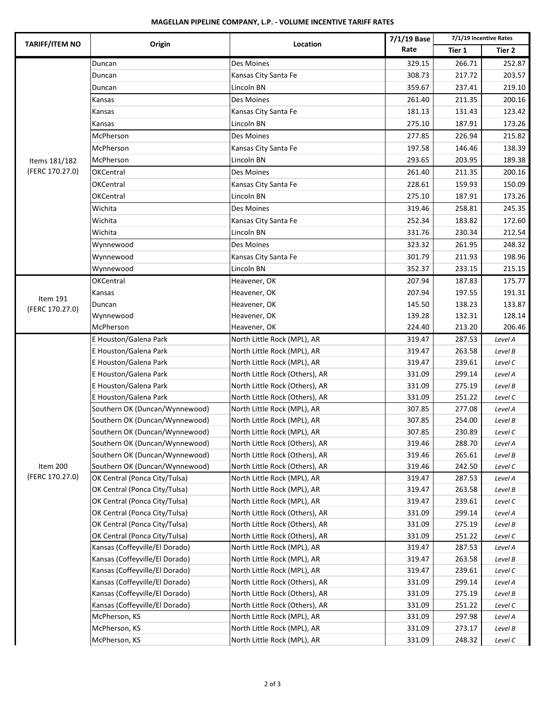# **MAGELLAN PIPELINE COMPANY, L.P. ‐ VOLUME INCENTIVE TARIFF RATES**

|                       |                                | Location                       | 7/1/19 Base |        | 7/1/19 Incentive Rates |
|-----------------------|--------------------------------|--------------------------------|-------------|--------|------------------------|
| <b>TARIFF/ITEM NO</b> | Origin                         |                                | Rate        | Tier 1 | Tier 2                 |
|                       | Duncan                         | Des Moines                     | 329.15      | 266.71 | 252.87                 |
|                       | Duncan                         | Kansas City Santa Fe           | 308.73      | 217.72 | 203.57                 |
|                       | Duncan                         | Lincoln BN                     | 359.67      | 237.41 | 219.10                 |
|                       | Kansas                         | Des Moines                     | 261.40      | 211.35 | 200.16                 |
|                       | Kansas                         | Kansas City Santa Fe           | 181.13      | 131.43 | 123.42                 |
|                       | Kansas                         | Lincoln BN                     | 275.10      | 187.91 | 173.26                 |
|                       | McPherson                      | Des Moines                     | 277.85      | 226.94 | 215.82                 |
|                       | McPherson                      | Kansas City Santa Fe           | 197.58      | 146.46 | 138.39                 |
| Items 181/182         | McPherson                      | Lincoln BN                     | 293.65      | 203.95 | 189.38                 |
| (FERC 170.27.0)       | <b>OKCentral</b>               | Des Moines                     | 261.40      | 211.35 | 200.16                 |
|                       | OKCentral                      | Kansas City Santa Fe           | 228.61      | 159.93 | 150.09                 |
|                       | OKCentral                      | Lincoln BN                     | 275.10      | 187.91 | 173.26                 |
|                       | Wichita                        | Des Moines                     | 319.46      | 258.81 | 245.35                 |
|                       | Wichita                        | Kansas City Santa Fe           | 252.34      | 183.82 | 172.60                 |
|                       | Wichita                        | Lincoln BN                     | 331.76      | 230.34 | 212.54                 |
|                       | Wynnewood                      | Des Moines                     | 323.32      | 261.95 | 248.32                 |
|                       | Wynnewood                      | Kansas City Santa Fe           | 301.79      | 211.93 | 198.96                 |
|                       | Wynnewood                      | Lincoln BN                     | 352.37      | 233.15 | 215.15                 |
|                       | <b>OKCentral</b>               | Heavener, OK                   | 207.94      | 187.83 | 175.77                 |
|                       |                                | Heavener, OK                   | 207.94      | 197.55 | 191.31                 |
| Item 191              | Kansas                         | Heavener, OK                   | 145.50      | 138.23 | 133.87                 |
| (FERC 170.27.0)       | Duncan<br>Wynnewood            | Heavener, OK                   | 139.28      | 132.31 | 128.14                 |
|                       | McPherson                      | Heavener, OK                   | 224.40      | 213.20 | 206.46                 |
|                       | E Houston/Galena Park          | North Little Rock (MPL), AR    | 319.47      | 287.53 | Level A                |
|                       | E Houston/Galena Park          | North Little Rock (MPL), AR    | 319.47      | 263.58 | Level B                |
|                       | E Houston/Galena Park          | North Little Rock (MPL), AR    | 319.47      | 239.61 | Level C                |
|                       | E Houston/Galena Park          | North Little Rock (Others), AR | 331.09      | 299.14 | Level A                |
|                       | E Houston/Galena Park          | North Little Rock (Others), AR | 331.09      | 275.19 | Level B                |
|                       | E Houston/Galena Park          | North Little Rock (Others), AR | 331.09      | 251.22 | Level C                |
|                       | Southern OK (Duncan/Wynnewood) | North Little Rock (MPL), AR    | 307.85      | 277.08 | Level A                |
|                       | Southern OK (Duncan/Wynnewood) | North Little Rock (MPL), AR    | 307.85      | 254.00 | Level B                |
|                       | Southern OK (Duncan/Wynnewood) | North Little Rock (MPL), AR    | 307.85      | 230.89 | Level C                |
|                       | Southern OK (Duncan/Wynnewood) | North Little Rock (Others), AR | 319.46      | 288.70 | Level A                |
|                       | Southern OK (Duncan/Wynnewood) | North Little Rock (Others), AR | 319.46      | 265.61 | Level B                |
| Item 200              | Southern OK (Duncan/Wynnewood) | North Little Rock (Others), AR | 319.46      | 242.50 | Level C                |
| (FERC 170.27.0)       | OK Central (Ponca City/Tulsa)  | North Little Rock (MPL), AR    | 319.47      | 287.53 | Level A                |
|                       | OK Central (Ponca City/Tulsa)  | North Little Rock (MPL), AR    | 319.47      | 263.58 | Level B                |
|                       | OK Central (Ponca City/Tulsa)  | North Little Rock (MPL), AR    | 319.47      | 239.61 | Level C                |
|                       | OK Central (Ponca City/Tulsa)  | North Little Rock (Others), AR | 331.09      | 299.14 | Level A                |
|                       | OK Central (Ponca City/Tulsa)  | North Little Rock (Others), AR | 331.09      | 275.19 | Level B                |
|                       | OK Central (Ponca City/Tulsa)  | North Little Rock (Others), AR | 331.09      | 251.22 | Level C                |
|                       | Kansas (Coffeyville/El Dorado) | North Little Rock (MPL), AR    | 319.47      | 287.53 | Level A                |
|                       | Kansas (Coffeyville/El Dorado) | North Little Rock (MPL), AR    | 319.47      | 263.58 | Level B                |
|                       | Kansas (Coffeyville/El Dorado) | North Little Rock (MPL), AR    | 319.47      | 239.61 | Level C                |
|                       | Kansas (Coffeyville/El Dorado) | North Little Rock (Others), AR | 331.09      | 299.14 | Level A                |
|                       | Kansas (Coffeyville/El Dorado) | North Little Rock (Others), AR | 331.09      | 275.19 | Level B                |
|                       | Kansas (Coffeyville/El Dorado) | North Little Rock (Others), AR | 331.09      | 251.22 | Level C                |
|                       | McPherson, KS                  | North Little Rock (MPL), AR    | 331.09      | 297.98 | Level A                |
|                       | McPherson, KS                  | North Little Rock (MPL), AR    | 331.09      | 273.17 | Level B                |
|                       | McPherson, KS                  | North Little Rock (MPL), AR    | 331.09      | 248.32 | Level C                |